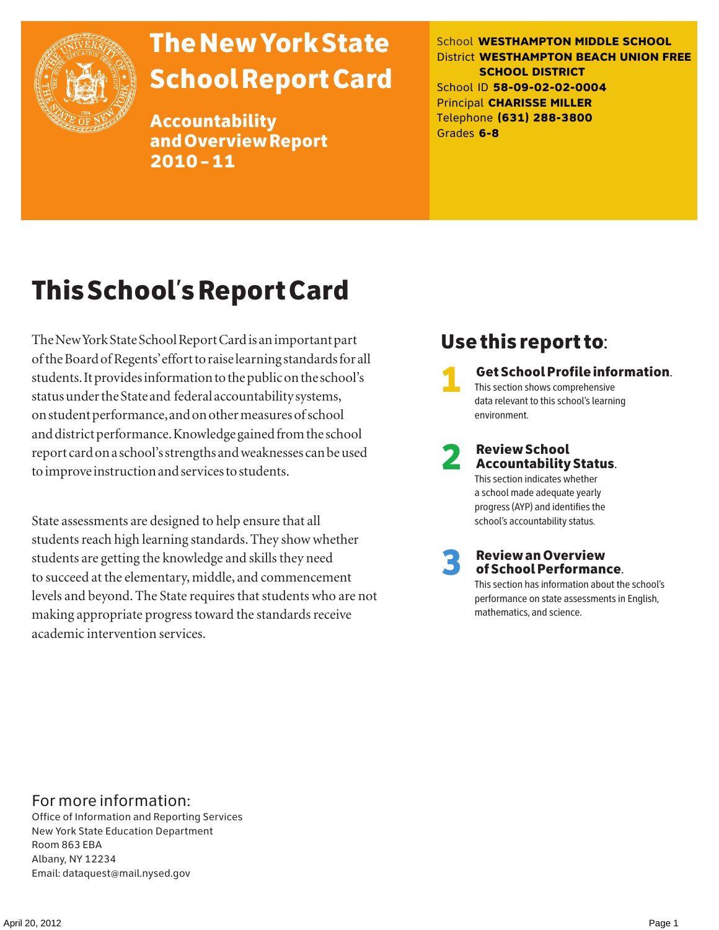

# The New York State School Report Card

Accountability and Overview Report 2010–11

School **WESTHAMPTON MIDDLE SCHOOL** District **WESTHAMPTON BEACH UNION FREE SCHOOL DISTRICT** School ID **58-09-02-02-0004** Principal **CHARISSE MILLER** Telephone **(631) 288-3800** Grades **6-8**

# This School's Report Card

The New York State School Report Card is an important part of the Board of Regents' effort to raise learning standards for all students. It provides information to the public on the school's status under the State and federal accountability systems, on student performance, and on other measures of school and district performance. Knowledge gained from the school report card on a school's strengths and weaknesses can be used to improve instruction and services to students.

State assessments are designed to help ensure that all students reach high learning standards. They show whether students are getting the knowledge and skills they need to succeed at the elementary, middle, and commencement levels and beyond. The State requires that students who are not making appropriate progress toward the standards receive academic intervention services.

# Use this report to:

1 Get School Profile information. This section shows comprehensive data relevant to this school's learning environment.

# 2 Review School Accountability Status.

This section indicates whether a school made adequate yearly progress (AYP) and identifies the school's accountability status.

3 Review an Overview of School Performance.

This section has information about the school's performance on state assessments in English, mathematics, and science.

### For more information:

Office of Information and Reporting Services New York State Education Department Room 863 EBA Albany, NY 12234 Email: dataquest@mail.nysed.gov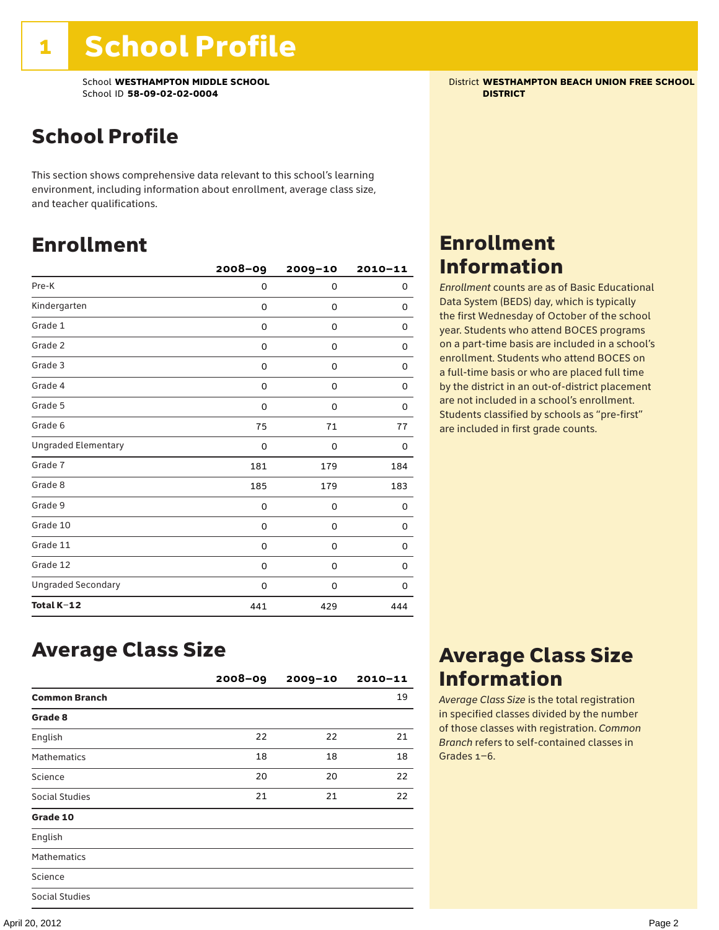School **WESTHAMPTON MIDDLE SCHOOL** District **WESTHAMPTON BEACH UNION FREE SCHOOL** School ID **58-09-02-02-0004 DISTRICT**

# School Profile

This section shows comprehensive data relevant to this school's learning environment, including information about enrollment, average class size, and teacher qualifications.

# Enrollment

|                            | $2008 - 09$ | 2009-10 | $2010 - 11$ |
|----------------------------|-------------|---------|-------------|
| Pre-K                      | 0           | 0       | 0           |
| Kindergarten               | 0           | 0       | 0           |
| Grade 1                    | 0           | 0       | 0           |
| Grade 2                    | 0           | 0       | 0           |
| Grade 3                    | 0           | 0       | 0           |
| Grade 4                    | 0           | 0       | 0           |
| Grade 5                    | 0           | 0       | 0           |
| Grade 6                    | 75          | 71      | 77          |
| <b>Ungraded Elementary</b> | $\Omega$    | 0       | 0           |
| Grade 7                    | 181         | 179     | 184         |
| Grade 8                    | 185         | 179     | 183         |
| Grade 9                    | 0           | 0       | 0           |
| Grade 10                   | 0           | 0       | 0           |
| Grade 11                   | 0           | 0       | 0           |
| Grade 12                   | 0           | 0       | 0           |
| <b>Ungraded Secondary</b>  | 0           | 0       | 0           |
| Total K-12                 | 441         | 429     | 444         |

# Enrollment Information

*Enrollment* counts are as of Basic Educational Data System (BEDS) day, which is typically the first Wednesday of October of the school year. Students who attend BOCES programs on a part-time basis are included in a school's enrollment. Students who attend BOCES on a full-time basis or who are placed full time by the district in an out-of-district placement are not included in a school's enrollment. Students classified by schools as "pre-first" are included in first grade counts.

### Average Class Size

|                      | $2008 - 09$ | $2009 - 10$ | $2010 - 11$ |
|----------------------|-------------|-------------|-------------|
| <b>Common Branch</b> |             |             | 19          |
| Grade 8              |             |             |             |
| English              | 22          | 22          | 21          |
| <b>Mathematics</b>   | 18          | 18          | 18          |
| Science              | 20          | 20          | 22          |
| Social Studies       | 21          | 21          | 22          |
| Grade 10             |             |             |             |
| English              |             |             |             |
| <b>Mathematics</b>   |             |             |             |
| Science              |             |             |             |
| Social Studies       |             |             |             |

# Average Class Size Information

*Average Class Size* is the total registration in specified classes divided by the number of those classes with registration. *Common Branch* refers to self-contained classes in Grades 1–6.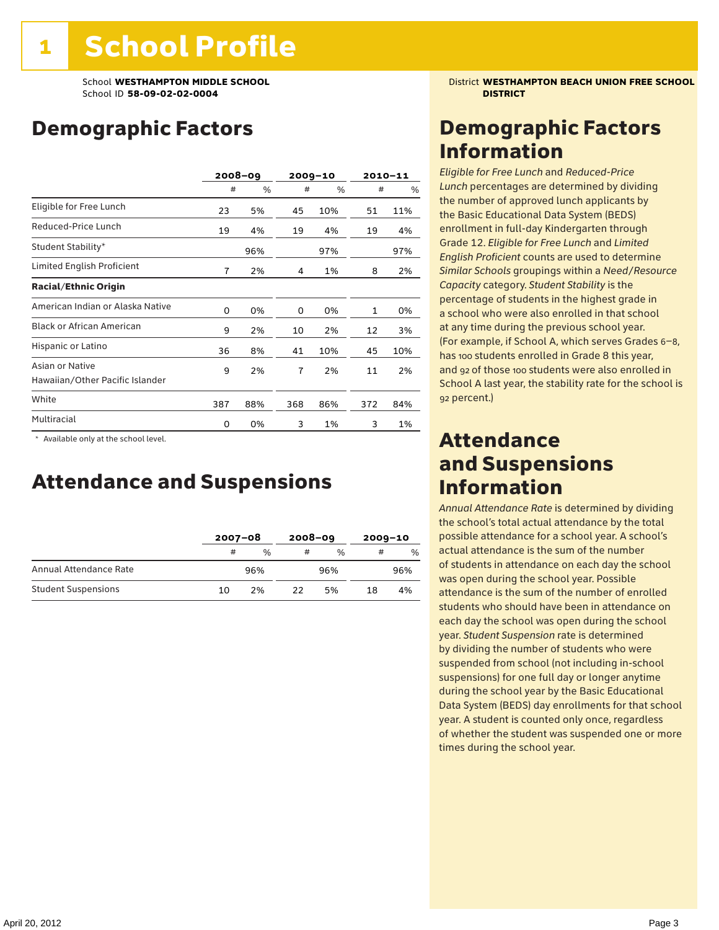# Demographic Factors

|                                                    | $2008 - 09$ |     | $2009 - 10$    |     | $2010 - 11$ |     |
|----------------------------------------------------|-------------|-----|----------------|-----|-------------|-----|
|                                                    | #           | %   | #              | %   | #           | %   |
| Eligible for Free Lunch                            | 23          | 5%  | 45             | 10% | 51          | 11% |
| Reduced-Price Lunch                                | 19          | 4%  | 19             | 4%  | 19          | 4%  |
| Student Stability*                                 |             | 96% |                | 97% |             | 97% |
| Limited English Proficient                         | 7           | 2%  | 4              | 1%  | 8           | 2%  |
| <b>Racial/Ethnic Origin</b>                        |             |     |                |     |             |     |
| American Indian or Alaska Native                   | 0           | 0%  | 0              | 0%  | 1           | 0%  |
| <b>Black or African American</b>                   | 9           | 2%  | 10             | 2%  | 12          | 3%  |
| Hispanic or Latino                                 | 36          | 8%  | 41             | 10% | 45          | 10% |
| Asian or Native<br>Hawaiian/Other Pacific Islander | 9           | 2%  | $\overline{7}$ | 2%  | 11          | 2%  |
| White                                              | 387         | 88% | 368            | 86% | 372         | 84% |
| Multiracial                                        | 0           | 0%  | 3              | 1%  | 3           | 1%  |

 \* Available only at the school level.

### Attendance and Suspensions

|                            |    | $2007 - 08$ |    | $2008 - 09$   |    | $2009 - 10$ |  |
|----------------------------|----|-------------|----|---------------|----|-------------|--|
|                            | #  | %           | #  | $\frac{0}{6}$ | #  | $\%$        |  |
| Annual Attendance Rate     |    | 96%         |    | 96%           |    | 96%         |  |
| <b>Student Suspensions</b> | 10 | 2%          | つつ | 5%            | 18 | 4%          |  |

School **WESTHAMPTON MIDDLE SCHOOL** District **WESTHAMPTON BEACH UNION FREE SCHOOL**

# Demographic Factors Information

*Eligible for Free Lunch* and *Reduced*-*Price Lunch* percentages are determined by dividing the number of approved lunch applicants by the Basic Educational Data System (BEDS) enrollment in full-day Kindergarten through Grade 12. *Eligible for Free Lunch* and *Limited English Proficient* counts are used to determine *Similar Schools* groupings within a *Need*/*Resource Capacity* category. *Student Stability* is the percentage of students in the highest grade in a school who were also enrolled in that school at any time during the previous school year. (For example, if School A, which serves Grades 6–8, has 100 students enrolled in Grade 8 this year, and 92 of those 100 students were also enrolled in School A last year, the stability rate for the school is 92 percent.)

### Attendance and Suspensions Information

*Annual Attendance Rate* is determined by dividing the school's total actual attendance by the total possible attendance for a school year. A school's actual attendance is the sum of the number of students in attendance on each day the school was open during the school year. Possible attendance is the sum of the number of enrolled students who should have been in attendance on each day the school was open during the school year. *Student Suspension* rate is determined by dividing the number of students who were suspended from school (not including in-school suspensions) for one full day or longer anytime during the school year by the Basic Educational Data System (BEDS) day enrollments for that school year. A student is counted only once, regardless of whether the student was suspended one or more times during the school year.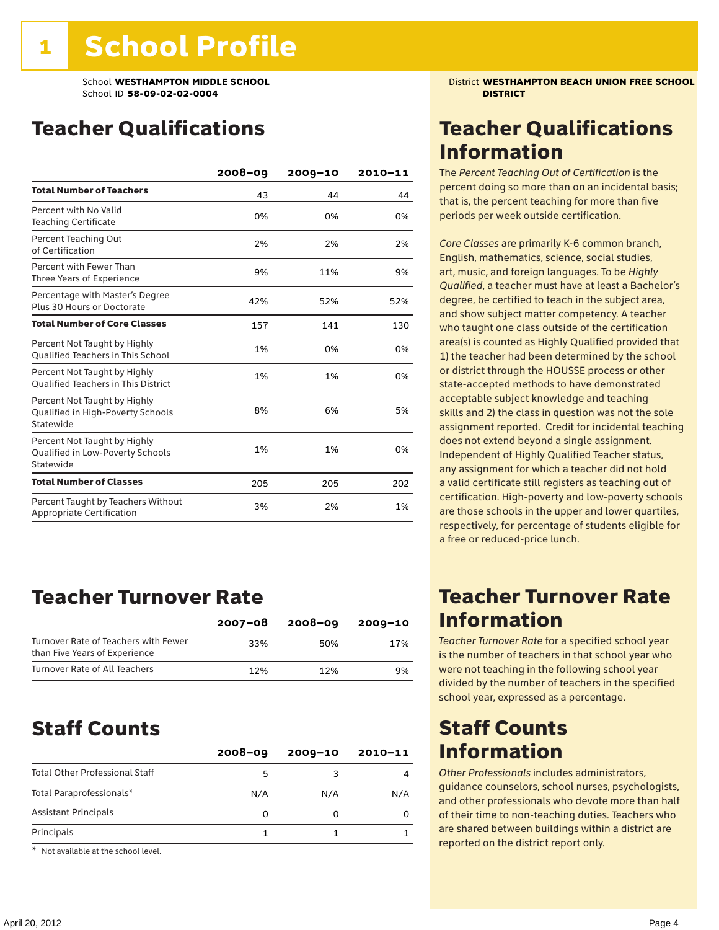# Teacher Qualifications

|                                                                                | 2008-09 | 2009-10 | 2010-11 |
|--------------------------------------------------------------------------------|---------|---------|---------|
| <b>Total Number of Teachers</b>                                                | 43      | 44      | 44      |
| Percent with No Valid<br><b>Teaching Certificate</b>                           | 0%      | 0%      | 0%      |
| Percent Teaching Out<br>of Certification                                       | 2%      | 2%      | 2%      |
| Percent with Fewer Than<br>Three Years of Experience                           | 9%      | 11%     | 9%      |
| Percentage with Master's Degree<br>Plus 30 Hours or Doctorate                  | 42%     | 52%     | 52%     |
| <b>Total Number of Core Classes</b>                                            | 157     | 141     | 130     |
| Percent Not Taught by Highly<br><b>Oualified Teachers in This School</b>       | 1%      | 0%      | 0%      |
| Percent Not Taught by Highly<br><b>Oualified Teachers in This District</b>     | 1%      | 1%      | 0%      |
| Percent Not Taught by Highly<br>Qualified in High-Poverty Schools<br>Statewide | 8%      | 6%      | 5%      |
| Percent Not Taught by Highly<br>Qualified in Low-Poverty Schools<br>Statewide  | 1%      | 1%      | 0%      |
| <b>Total Number of Classes</b>                                                 | 205     | 205     | 202     |
| Percent Taught by Teachers Without<br>Appropriate Certification                | 3%      | 2%      | 1%      |

# Teacher Turnover Rate

|                                                                       | $2007 - 08$ | 2008-09 | 2009-10 |
|-----------------------------------------------------------------------|-------------|---------|---------|
| Turnover Rate of Teachers with Fewer<br>than Five Years of Experience | 33%         | 50%     | 17%     |
| Turnover Rate of All Teachers                                         | 12%         | 12%     | 9%      |

### Staff Counts

| 5   |     |     |
|-----|-----|-----|
| N/A | N/A | N/A |
| 0   |     |     |
|     |     |     |
|     |     |     |

Not available at the school level.

School **WESTHAMPTON MIDDLE SCHOOL** District **WESTHAMPTON BEACH UNION FREE SCHOOL**

# Teacher Qualifications Information

The *Percent Teaching Out of Certification* is the percent doing so more than on an incidental basis; that is, the percent teaching for more than five periods per week outside certification.

*Core Classes* are primarily K-6 common branch, English, mathematics, science, social studies, art, music, and foreign languages. To be *Highly Qualified*, a teacher must have at least a Bachelor's degree, be certified to teach in the subject area, and show subject matter competency. A teacher who taught one class outside of the certification area(s) is counted as Highly Qualified provided that 1) the teacher had been determined by the school or district through the HOUSSE process or other state-accepted methods to have demonstrated acceptable subject knowledge and teaching skills and 2) the class in question was not the sole assignment reported. Credit for incidental teaching does not extend beyond a single assignment. Independent of Highly Qualified Teacher status, any assignment for which a teacher did not hold a valid certificate still registers as teaching out of certification. High-poverty and low-poverty schools are those schools in the upper and lower quartiles, respectively, for percentage of students eligible for a free or reduced-price lunch.

### Teacher Turnover Rate Information

*Teacher Turnover Rate* for a specified school year is the number of teachers in that school year who were not teaching in the following school year divided by the number of teachers in the specified school year, expressed as a percentage.

### Staff Counts Information

*Other Professionals* includes administrators, guidance counselors, school nurses, psychologists, and other professionals who devote more than half of their time to non-teaching duties. Teachers who are shared between buildings within a district are reported on the district report only.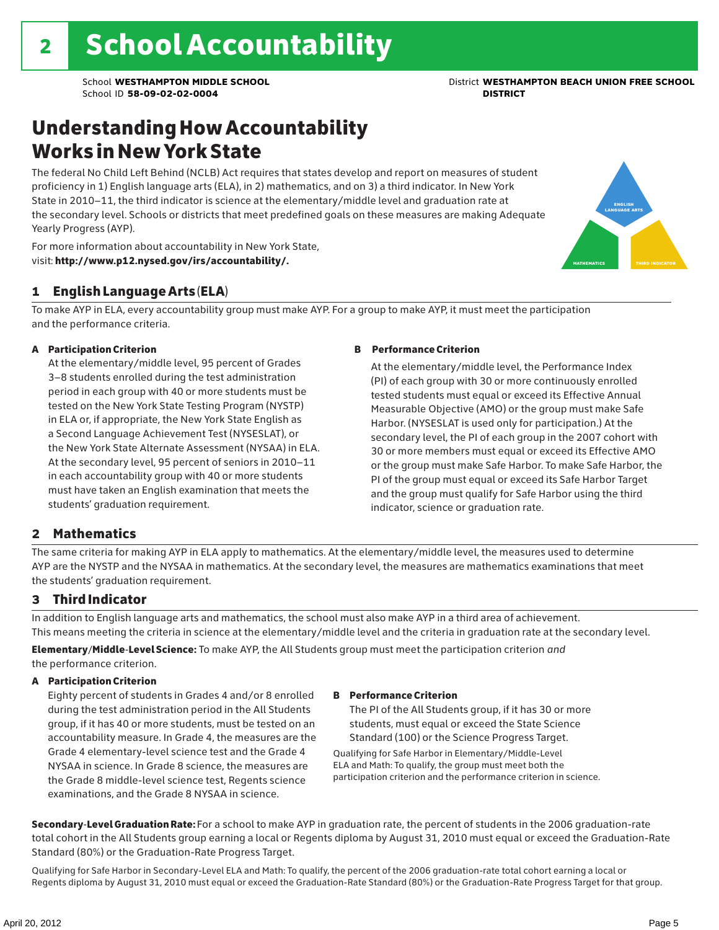# Understanding How Accountability Works in New York State

The federal No Child Left Behind (NCLB) Act requires that states develop and report on measures of student proficiency in 1) English language arts (ELA), in 2) mathematics, and on 3) a third indicator. In New York State in 2010–11, the third indicator is science at the elementary/middle level and graduation rate at the secondary level. Schools or districts that meet predefined goals on these measures are making Adequate Yearly Progress (AYP).



For more information about accountability in New York State, visit: http://www.p12.nysed.gov/irs/accountability/.

### 1 English Language Arts (ELA)

To make AYP in ELA, every accountability group must make AYP. For a group to make AYP, it must meet the participation and the performance criteria.

### A Participation Criterion

At the elementary/middle level, 95 percent of Grades 3–8 students enrolled during the test administration period in each group with 40 or more students must be tested on the New York State Testing Program (NYSTP) in ELA or, if appropriate, the New York State English as a Second Language Achievement Test (NYSESLAT), or the New York State Alternate Assessment (NYSAA) in ELA. At the secondary level, 95 percent of seniors in 2010–11 in each accountability group with 40 or more students must have taken an English examination that meets the students' graduation requirement.

### B Performance Criterion

At the elementary/middle level, the Performance Index (PI) of each group with 30 or more continuously enrolled tested students must equal or exceed its Effective Annual Measurable Objective (AMO) or the group must make Safe Harbor. (NYSESLAT is used only for participation.) At the secondary level, the PI of each group in the 2007 cohort with 30 or more members must equal or exceed its Effective AMO or the group must make Safe Harbor. To make Safe Harbor, the PI of the group must equal or exceed its Safe Harbor Target and the group must qualify for Safe Harbor using the third indicator, science or graduation rate.

### 2 Mathematics

The same criteria for making AYP in ELA apply to mathematics. At the elementary/middle level, the measures used to determine AYP are the NYSTP and the NYSAA in mathematics. At the secondary level, the measures are mathematics examinations that meet the students' graduation requirement.

### 3 Third Indicator

In addition to English language arts and mathematics, the school must also make AYP in a third area of achievement. This means meeting the criteria in science at the elementary/middle level and the criteria in graduation rate at the secondary level.

Elementary/Middle-Level Science: To make AYP, the All Students group must meet the participation criterion *and* the performance criterion.

### A Participation Criterion

Eighty percent of students in Grades 4 and/or 8 enrolled during the test administration period in the All Students group, if it has 40 or more students, must be tested on an accountability measure. In Grade 4, the measures are the Grade 4 elementary-level science test and the Grade 4 NYSAA in science. In Grade 8 science, the measures are the Grade 8 middle-level science test, Regents science examinations, and the Grade 8 NYSAA in science.

### B Performance Criterion

The PI of the All Students group, if it has 30 or more students, must equal or exceed the State Science Standard (100) or the Science Progress Target.

Qualifying for Safe Harbor in Elementary/Middle-Level ELA and Math: To qualify, the group must meet both the participation criterion and the performance criterion in science.

Secondary-Level Graduation Rate: For a school to make AYP in graduation rate, the percent of students in the 2006 graduation-rate total cohort in the All Students group earning a local or Regents diploma by August 31, 2010 must equal or exceed the Graduation-Rate Standard (80%) or the Graduation-Rate Progress Target.

Qualifying for Safe Harbor in Secondary-Level ELA and Math: To qualify, the percent of the 2006 graduation-rate total cohort earning a local or Regents diploma by August 31, 2010 must equal or exceed the Graduation-Rate Standard (80%) or the Graduation-Rate Progress Target for that group.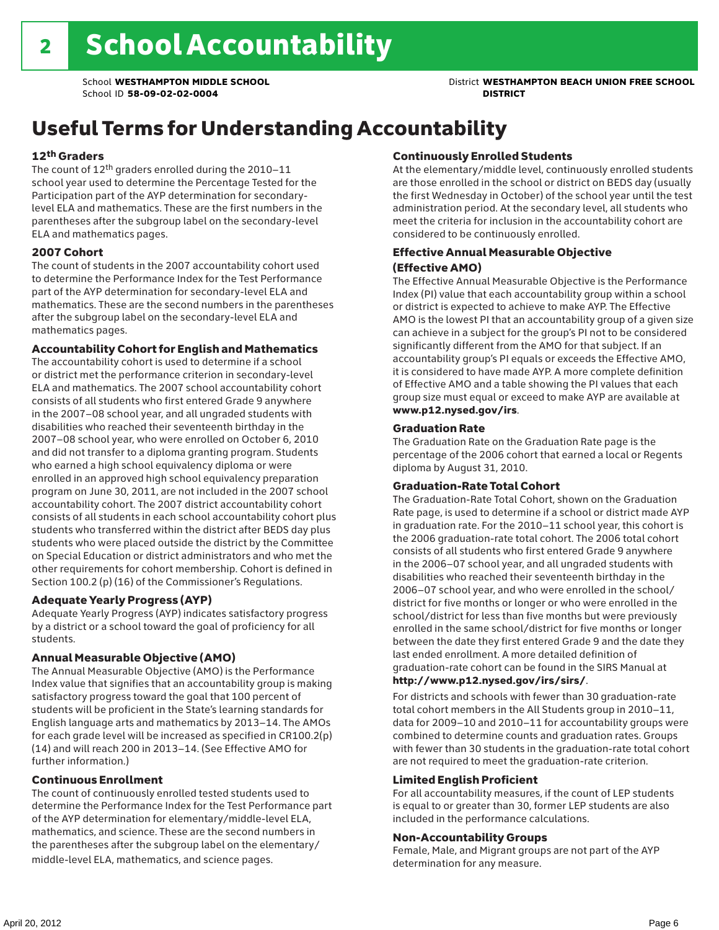# Useful Terms for Understanding Accountability

### 12th Graders

The count of 12th graders enrolled during the 2010–11 school year used to determine the Percentage Tested for the Participation part of the AYP determination for secondarylevel ELA and mathematics. These are the first numbers in the parentheses after the subgroup label on the secondary-level ELA and mathematics pages.

### 2007 Cohort

The count of students in the 2007 accountability cohort used to determine the Performance Index for the Test Performance part of the AYP determination for secondary-level ELA and mathematics. These are the second numbers in the parentheses after the subgroup label on the secondary-level ELA and mathematics pages.

### Accountability Cohort for English and Mathematics

The accountability cohort is used to determine if a school or district met the performance criterion in secondary-level ELA and mathematics. The 2007 school accountability cohort consists of all students who first entered Grade 9 anywhere in the 2007–08 school year, and all ungraded students with disabilities who reached their seventeenth birthday in the 2007–08 school year, who were enrolled on October 6, 2010 and did not transfer to a diploma granting program. Students who earned a high school equivalency diploma or were enrolled in an approved high school equivalency preparation program on June 30, 2011, are not included in the 2007 school accountability cohort. The 2007 district accountability cohort consists of all students in each school accountability cohort plus students who transferred within the district after BEDS day plus students who were placed outside the district by the Committee on Special Education or district administrators and who met the other requirements for cohort membership. Cohort is defined in Section 100.2 (p) (16) of the Commissioner's Regulations.

### Adequate Yearly Progress (AYP)

Adequate Yearly Progress (AYP) indicates satisfactory progress by a district or a school toward the goal of proficiency for all students.

### Annual Measurable Objective (AMO)

The Annual Measurable Objective (AMO) is the Performance Index value that signifies that an accountability group is making satisfactory progress toward the goal that 100 percent of students will be proficient in the State's learning standards for English language arts and mathematics by 2013–14. The AMOs for each grade level will be increased as specified in CR100.2(p) (14) and will reach 200 in 2013–14. (See Effective AMO for further information.)

### Continuous Enrollment

The count of continuously enrolled tested students used to determine the Performance Index for the Test Performance part of the AYP determination for elementary/middle-level ELA, mathematics, and science. These are the second numbers in the parentheses after the subgroup label on the elementary/ middle-level ELA, mathematics, and science pages.

### Continuously Enrolled Students

At the elementary/middle level, continuously enrolled students are those enrolled in the school or district on BEDS day (usually the first Wednesday in October) of the school year until the test administration period. At the secondary level, all students who meet the criteria for inclusion in the accountability cohort are considered to be continuously enrolled.

### Effective Annual Measurable Objective (Effective AMO)

The Effective Annual Measurable Objective is the Performance Index (PI) value that each accountability group within a school or district is expected to achieve to make AYP. The Effective AMO is the lowest PI that an accountability group of a given size can achieve in a subject for the group's PI not to be considered significantly different from the AMO for that subject. If an accountability group's PI equals or exceeds the Effective AMO, it is considered to have made AYP. A more complete definition of Effective AMO and a table showing the PI values that each group size must equal or exceed to make AYP are available at www.p12.nysed.gov/irs.

### Graduation Rate

The Graduation Rate on the Graduation Rate page is the percentage of the 2006 cohort that earned a local or Regents diploma by August 31, 2010.

### Graduation-Rate Total Cohort

The Graduation-Rate Total Cohort, shown on the Graduation Rate page, is used to determine if a school or district made AYP in graduation rate. For the 2010–11 school year, this cohort is the 2006 graduation-rate total cohort. The 2006 total cohort consists of all students who first entered Grade 9 anywhere in the 2006–07 school year, and all ungraded students with disabilities who reached their seventeenth birthday in the 2006–07 school year, and who were enrolled in the school/ district for five months or longer or who were enrolled in the school/district for less than five months but were previously enrolled in the same school/district for five months or longer between the date they first entered Grade 9 and the date they last ended enrollment. A more detailed definition of graduation-rate cohort can be found in the SIRS Manual at

### http://www.p12.nysed.gov/irs/sirs/.

For districts and schools with fewer than 30 graduation-rate total cohort members in the All Students group in 2010–11, data for 2009–10 and 2010–11 for accountability groups were combined to determine counts and graduation rates. Groups with fewer than 30 students in the graduation-rate total cohort are not required to meet the graduation-rate criterion.

### Limited English Proficient

For all accountability measures, if the count of LEP students is equal to or greater than 30, former LEP students are also included in the performance calculations.

### Non-Accountability Groups

Female, Male, and Migrant groups are not part of the AYP determination for any measure.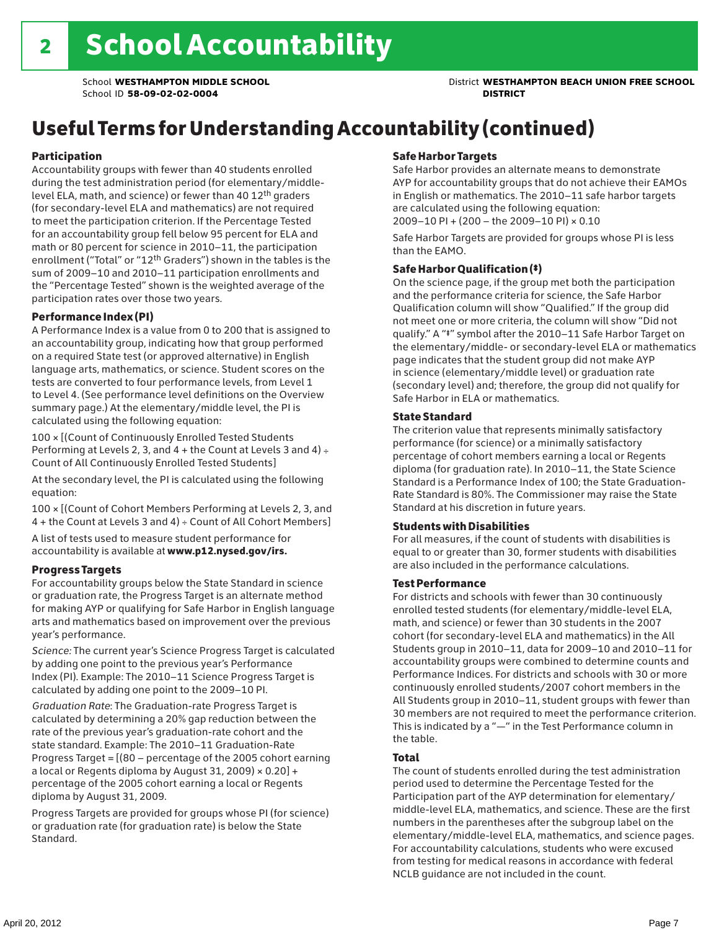# Useful Terms for Understanding Accountability (continued)

### Participation

Accountability groups with fewer than 40 students enrolled during the test administration period (for elementary/middlelevel ELA, math, and science) or fewer than 40 12th graders (for secondary-level ELA and mathematics) are not required to meet the participation criterion. If the Percentage Tested for an accountability group fell below 95 percent for ELA and math or 80 percent for science in 2010–11, the participation enrollment ("Total" or "12th Graders") shown in the tables is the sum of 2009–10 and 2010–11 participation enrollments and the "Percentage Tested" shown is the weighted average of the participation rates over those two years.

### Performance Index (PI)

A Performance Index is a value from 0 to 200 that is assigned to an accountability group, indicating how that group performed on a required State test (or approved alternative) in English language arts, mathematics, or science. Student scores on the tests are converted to four performance levels, from Level 1 to Level 4. (See performance level definitions on the Overview summary page.) At the elementary/middle level, the PI is calculated using the following equation:

100 × [(Count of Continuously Enrolled Tested Students Performing at Levels 2, 3, and  $4 +$  the Count at Levels 3 and  $4) \div$ Count of All Continuously Enrolled Tested Students]

At the secondary level, the PI is calculated using the following equation:

100 × [(Count of Cohort Members Performing at Levels 2, 3, and 4 + the Count at Levels 3 and 4) ÷ Count of All Cohort Members]

A list of tests used to measure student performance for accountability is available at www.p12.nysed.gov/irs.

### Progress Targets

For accountability groups below the State Standard in science or graduation rate, the Progress Target is an alternate method for making AYP or qualifying for Safe Harbor in English language arts and mathematics based on improvement over the previous year's performance.

*Science:* The current year's Science Progress Target is calculated by adding one point to the previous year's Performance Index (PI). Example: The 2010–11 Science Progress Target is calculated by adding one point to the 2009–10 PI.

*Graduation Rate*: The Graduation-rate Progress Target is calculated by determining a 20% gap reduction between the rate of the previous year's graduation-rate cohort and the state standard. Example: The 2010–11 Graduation-Rate Progress Target = [(80 – percentage of the 2005 cohort earning a local or Regents diploma by August 31, 2009)  $\times$  0.20] + percentage of the 2005 cohort earning a local or Regents diploma by August 31, 2009.

Progress Targets are provided for groups whose PI (for science) or graduation rate (for graduation rate) is below the State Standard.

### Safe Harbor Targets

Safe Harbor provides an alternate means to demonstrate AYP for accountability groups that do not achieve their EAMOs in English or mathematics. The 2010–11 safe harbor targets are calculated using the following equation: 2009–10 PI + (200 – the 2009–10 PI) × 0.10

Safe Harbor Targets are provided for groups whose PI is less than the EAMO.

### Safe Harbor Qualification (‡)

On the science page, if the group met both the participation and the performance criteria for science, the Safe Harbor Qualification column will show "Qualified." If the group did not meet one or more criteria, the column will show "Did not qualify." A "‡" symbol after the 2010–11 Safe Harbor Target on the elementary/middle- or secondary-level ELA or mathematics page indicates that the student group did not make AYP in science (elementary/middle level) or graduation rate (secondary level) and; therefore, the group did not qualify for Safe Harbor in ELA or mathematics.

### State Standard

The criterion value that represents minimally satisfactory performance (for science) or a minimally satisfactory percentage of cohort members earning a local or Regents diploma (for graduation rate). In 2010–11, the State Science Standard is a Performance Index of 100; the State Graduation-Rate Standard is 80%. The Commissioner may raise the State Standard at his discretion in future years.

### Students with Disabilities

For all measures, if the count of students with disabilities is equal to or greater than 30, former students with disabilities are also included in the performance calculations.

### Test Performance

For districts and schools with fewer than 30 continuously enrolled tested students (for elementary/middle-level ELA, math, and science) or fewer than 30 students in the 2007 cohort (for secondary-level ELA and mathematics) in the All Students group in 2010–11, data for 2009–10 and 2010–11 for accountability groups were combined to determine counts and Performance Indices. For districts and schools with 30 or more continuously enrolled students/2007 cohort members in the All Students group in 2010–11, student groups with fewer than 30 members are not required to meet the performance criterion. This is indicated by a "—" in the Test Performance column in the table.

### Total

The count of students enrolled during the test administration period used to determine the Percentage Tested for the Participation part of the AYP determination for elementary/ middle-level ELA, mathematics, and science. These are the first numbers in the parentheses after the subgroup label on the elementary/middle-level ELA, mathematics, and science pages. For accountability calculations, students who were excused from testing for medical reasons in accordance with federal NCLB guidance are not included in the count.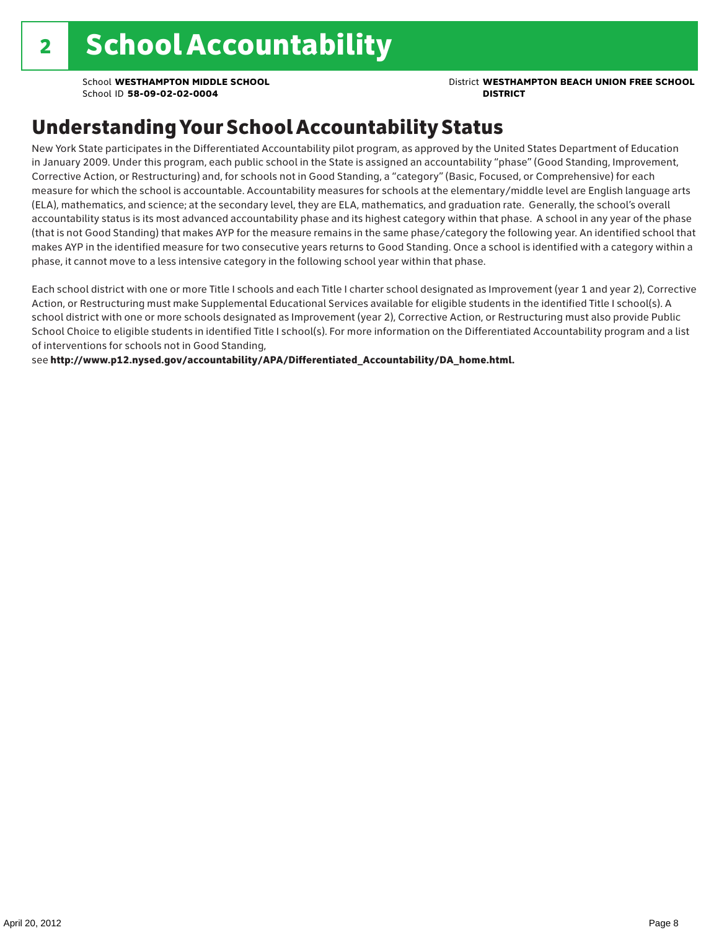# Understanding Your School Accountability Status

New York State participates in the Differentiated Accountability pilot program, as approved by the United States Department of Education in January 2009. Under this program, each public school in the State is assigned an accountability "phase" (Good Standing, Improvement, Corrective Action, or Restructuring) and, for schools not in Good Standing, a "category" (Basic, Focused, or Comprehensive) for each measure for which the school is accountable. Accountability measures for schools at the elementary/middle level are English language arts (ELA), mathematics, and science; at the secondary level, they are ELA, mathematics, and graduation rate. Generally, the school's overall accountability status is its most advanced accountability phase and its highest category within that phase. A school in any year of the phase (that is not Good Standing) that makes AYP for the measure remains in the same phase/category the following year. An identified school that makes AYP in the identified measure for two consecutive years returns to Good Standing. Once a school is identified with a category within a phase, it cannot move to a less intensive category in the following school year within that phase.

Each school district with one or more Title I schools and each Title I charter school designated as Improvement (year 1 and year 2), Corrective Action, or Restructuring must make Supplemental Educational Services available for eligible students in the identified Title I school(s). A school district with one or more schools designated as Improvement (year 2), Corrective Action, or Restructuring must also provide Public School Choice to eligible students in identified Title I school(s). For more information on the Differentiated Accountability program and a list of interventions for schools not in Good Standing,

see http://www.p12.nysed.gov/accountability/APA/Differentiated\_Accountability/DA\_home.html.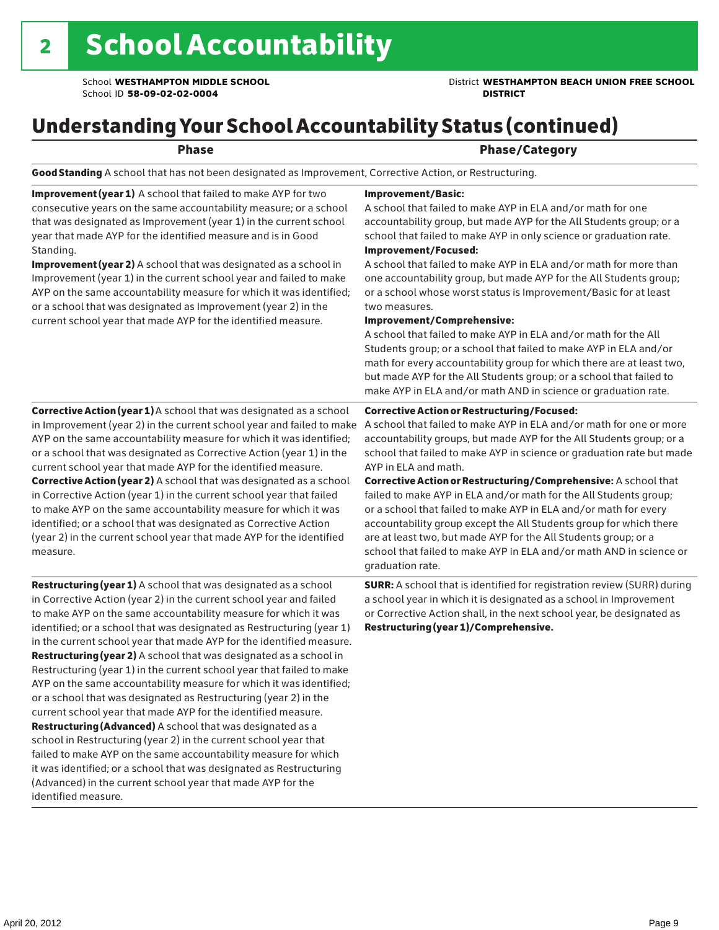### School **WESTHAMPTON MIDDLE SCHOOL** District **WESTHAMPTON BEACH UNION FREE SCHOOL**

# Understanding Your School Accountability Status (continued)

### Phase **Phase** Phase/Category

Good Standing A school that has not been designated as Improvement, Corrective Action, or Restructuring.

Improvement (year 1) A school that failed to make AYP for two consecutive years on the same accountability measure; or a school that was designated as Improvement (year 1) in the current school year that made AYP for the identified measure and is in Good Standing.

Improvement (year 2) A school that was designated as a school in Improvement (year 1) in the current school year and failed to make AYP on the same accountability measure for which it was identified; or a school that was designated as Improvement (year 2) in the current school year that made AYP for the identified measure.

### Corrective Action (year 1) A school that was designated as a school in Improvement (year 2) in the current school year and failed to make AYP on the same accountability measure for which it was identified; or a school that was designated as Corrective Action (year 1) in the current school year that made AYP for the identified measure. Corrective Action (year 2) A school that was designated as a school in Corrective Action (year 1) in the current school year that failed to make AYP on the same accountability measure for which it was identified; or a school that was designated as Corrective Action (year 2) in the current school year that made AYP for the identified measure.

Restructuring (year 1) A school that was designated as a school in Corrective Action (year 2) in the current school year and failed to make AYP on the same accountability measure for which it was identified; or a school that was designated as Restructuring (year 1) in the current school year that made AYP for the identified measure. Restructuring (year 2) A school that was designated as a school in Restructuring (year 1) in the current school year that failed to make AYP on the same accountability measure for which it was identified; or a school that was designated as Restructuring (year 2) in the current school year that made AYP for the identified measure. Restructuring (Advanced) A school that was designated as a school in Restructuring (year 2) in the current school year that failed to make AYP on the same accountability measure for which it was identified; or a school that was designated as Restructuring (Advanced) in the current school year that made AYP for the identified measure.

### Improvement/Basic:

A school that failed to make AYP in ELA and/or math for one accountability group, but made AYP for the All Students group; or a school that failed to make AYP in only science or graduation rate. Improvement/Focused:

A school that failed to make AYP in ELA and/or math for more than one accountability group, but made AYP for the All Students group; or a school whose worst status is Improvement/Basic for at least two measures.

#### Improvement/Comprehensive:

A school that failed to make AYP in ELA and/or math for the All Students group; or a school that failed to make AYP in ELA and/or math for every accountability group for which there are at least two, but made AYP for the All Students group; or a school that failed to make AYP in ELA and/or math AND in science or graduation rate.

#### Corrective Action or Restructuring/Focused:

A school that failed to make AYP in ELA and/or math for one or more accountability groups, but made AYP for the All Students group; or a school that failed to make AYP in science or graduation rate but made AYP in ELA and math.

Corrective Action or Restructuring/Comprehensive: A school that failed to make AYP in ELA and/or math for the All Students group; or a school that failed to make AYP in ELA and/or math for every accountability group except the All Students group for which there are at least two, but made AYP for the All Students group; or a school that failed to make AYP in ELA and/or math AND in science or graduation rate.

SURR: A school that is identified for registration review (SURR) during a school year in which it is designated as a school in Improvement or Corrective Action shall, in the next school year, be designated as Restructuring (year 1)/Comprehensive.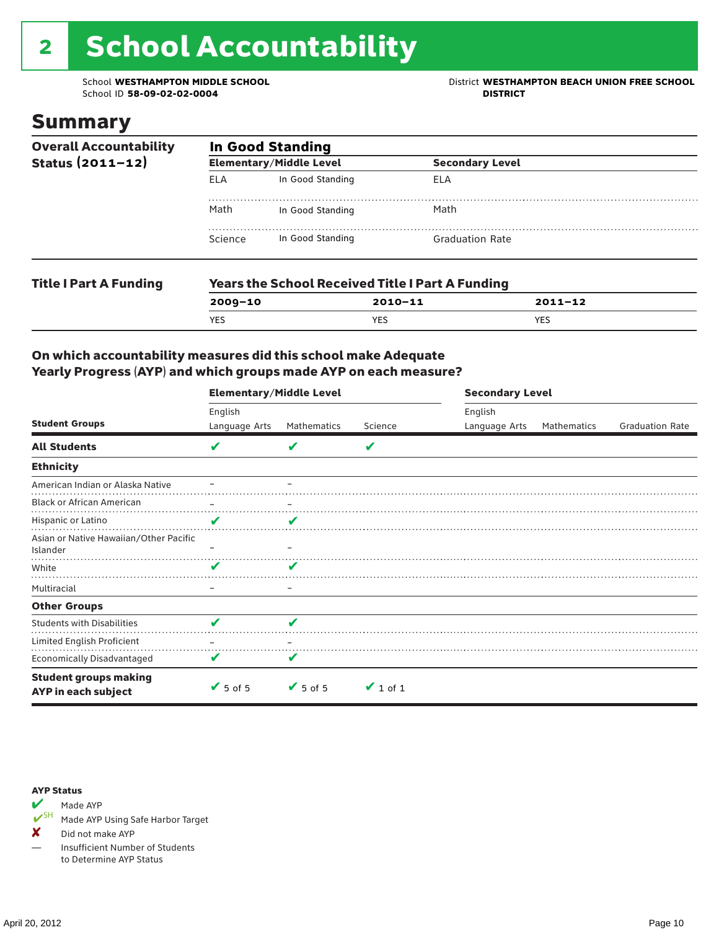# 2 School Accountability

School ID 58-09-02-02-0004

School **WESTHAMPTON MIDDLE SCHOOL**<br>School ID 58-09-02-020404<br>DISTRICT DISTRICT

### Summary

| <b>Overall Accountability</b><br>Status $(2011 - 12)$ | <b>In Good Standing</b> |                                                         |                        |  |  |  |
|-------------------------------------------------------|-------------------------|---------------------------------------------------------|------------------------|--|--|--|
|                                                       |                         | <b>Elementary/Middle Level</b>                          | <b>Secondary Level</b> |  |  |  |
|                                                       | ELA                     | In Good Standing                                        | ELA                    |  |  |  |
|                                                       | Math                    | In Good Standing                                        | Math                   |  |  |  |
|                                                       | Science                 | In Good Standing                                        | <b>Graduation Rate</b> |  |  |  |
| <b>Title I Part A Funding</b>                         |                         | <b>Years the School Received Title I Part A Funding</b> |                        |  |  |  |

| l itle i Part A Funding | Years the School Received Title I Part A Funding |             |         |  |  |  |  |
|-------------------------|--------------------------------------------------|-------------|---------|--|--|--|--|
|                         | $2009 - 10$                                      | $2010 - 11$ | 2011-12 |  |  |  |  |
|                         | YES                                              | <b>YES</b>  | YES     |  |  |  |  |
|                         |                                                  |             |         |  |  |  |  |

### On which accountability measures did this school make Adequate Yearly Progress (AYP) and which groups made AYP on each measure?

|                                                     | <b>Elementary/Middle Level</b> |                              |               | <b>Secondary Level</b> |             |                        |  |
|-----------------------------------------------------|--------------------------------|------------------------------|---------------|------------------------|-------------|------------------------|--|
| <b>Student Groups</b>                               | English                        |                              |               | English                |             |                        |  |
|                                                     | Language Arts                  | Mathematics                  | Science       | Language Arts          | Mathematics | <b>Graduation Rate</b> |  |
| <b>All Students</b>                                 | V                              | v                            | V             |                        |             |                        |  |
| <b>Ethnicity</b>                                    |                                |                              |               |                        |             |                        |  |
| American Indian or Alaska Native                    |                                |                              |               |                        |             |                        |  |
| <b>Black or African American</b>                    | $\overline{\phantom{0}}$       | -                            |               |                        |             |                        |  |
| Hispanic or Latino                                  | V                              | v                            |               |                        |             |                        |  |
| Asian or Native Hawaiian/Other Pacific<br>Islander  |                                |                              |               |                        |             |                        |  |
| White                                               | v                              |                              |               |                        |             |                        |  |
| Multiracial                                         |                                | -                            |               |                        |             |                        |  |
| <b>Other Groups</b>                                 |                                |                              |               |                        |             |                        |  |
| <b>Students with Disabilities</b>                   | v                              | a d                          |               |                        |             |                        |  |
| Limited English Proficient                          |                                |                              |               |                        |             |                        |  |
| <b>Economically Disadvantaged</b>                   | V                              |                              |               |                        |             |                        |  |
| <b>Student groups making</b><br>AYP in each subject | $\sqrt{5}$ of 5                | $\blacktriangleright$ 5 of 5 | $\vee$ 1 of 1 |                        |             |                        |  |

#### AYP Status



Made AYP Using Safe Harbor Target

✘ Did not make AYP

— Insufficient Number of Students to Determine AYP Status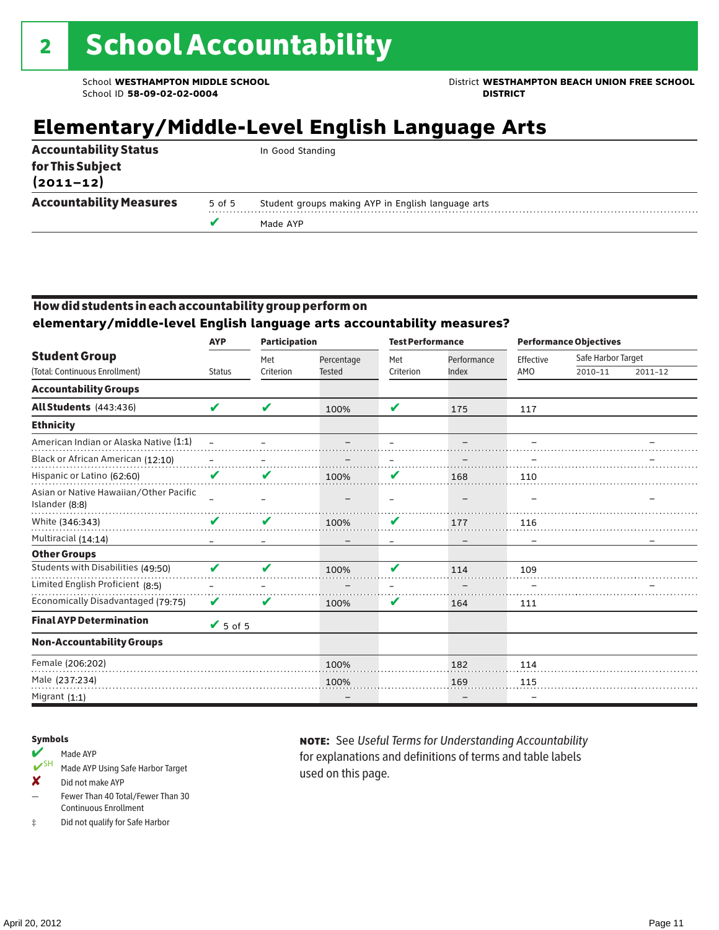School **WESTHAMPTON MIDDLE SCHOOL** District **WESTHAMPTON BEACH UNION FREE SCHOOL**

# **Elementary/Middle-Level English Language Arts**

|        | In Good Standing                                   |
|--------|----------------------------------------------------|
|        |                                                    |
|        |                                                    |
| 5 of 5 | Student groups making AYP in English language arts |
|        | Made AYP                                           |
|        |                                                    |

### How did students in each accountability group perform on

**elementary/middle-level English language arts accountability measures?**

|                                                          | <b>Participation</b><br><b>AYP</b> |           |               | <b>Test Performance</b>  |             | <b>Performance Objectives</b> |                    |         |
|----------------------------------------------------------|------------------------------------|-----------|---------------|--------------------------|-------------|-------------------------------|--------------------|---------|
| <b>Student Group</b>                                     |                                    | Met       | Percentage    | Met                      | Performance | Effective                     | Safe Harbor Target |         |
| (Total: Continuous Enrollment)                           | <b>Status</b>                      | Criterion | <b>Tested</b> | Criterion                | Index       | AMO                           | 2010-11            | 2011-12 |
| <b>Accountability Groups</b>                             |                                    |           |               |                          |             |                               |                    |         |
| <b>All Students</b> (443:436)                            | V                                  | V         | 100%          | V                        | 175         | 117                           |                    |         |
| <b>Ethnicity</b>                                         |                                    |           |               |                          |             |                               |                    |         |
| American Indian or Alaska Native (1:1)                   |                                    |           |               |                          |             |                               |                    |         |
| Black or African American (12:10)                        |                                    |           |               |                          |             |                               |                    |         |
| Hispanic or Latino (62:60)                               | V                                  | V         | 100%          | V                        | 168         | 110                           |                    |         |
| Asian or Native Hawaiian/Other Pacific<br>Islander (8:8) |                                    |           |               | $\overline{\phantom{0}}$ |             |                               |                    |         |
| White (346:343)                                          | V                                  | V         | 100%          | V                        | 177         | 116                           |                    |         |
| Multiracial (14:14)                                      |                                    |           |               |                          |             |                               |                    |         |
| <b>Other Groups</b>                                      |                                    |           |               |                          |             |                               |                    |         |
| Students with Disabilities (49:50)                       | ✔                                  | ✔         | 100%          | V                        | 114         | 109                           |                    |         |
| Limited English Proficient (8:5)                         |                                    |           |               |                          |             |                               |                    |         |
| Economically Disadvantaged (79:75)                       | V                                  | ✔         | 100%          | V                        | 164         | 111                           |                    |         |
| <b>Final AYP Determination</b>                           | $\sqrt{5}$ of 5                    |           |               |                          |             |                               |                    |         |
| <b>Non-Accountability Groups</b>                         |                                    |           |               |                          |             |                               |                    |         |
| Female (206:202)                                         |                                    |           | 100%          |                          | 182         | 114                           |                    |         |
| Male (237:234)                                           |                                    |           | 100%          |                          | 169         | 115                           |                    |         |
| Migrant $(1:1)$                                          |                                    |           |               |                          |             | -                             |                    |         |

### Symbols

### Made AYP

- ✔SH Made AYP Using Safe Harbor Target
- ✘ Did not make AYP
- Fewer Than 40 Total/Fewer Than 30 Continuous Enrollment
- ‡ Did not qualify for Safe Harbor

note: See *Useful Terms for Understanding Accountability*  for explanations and definitions of terms and table labels used on this page.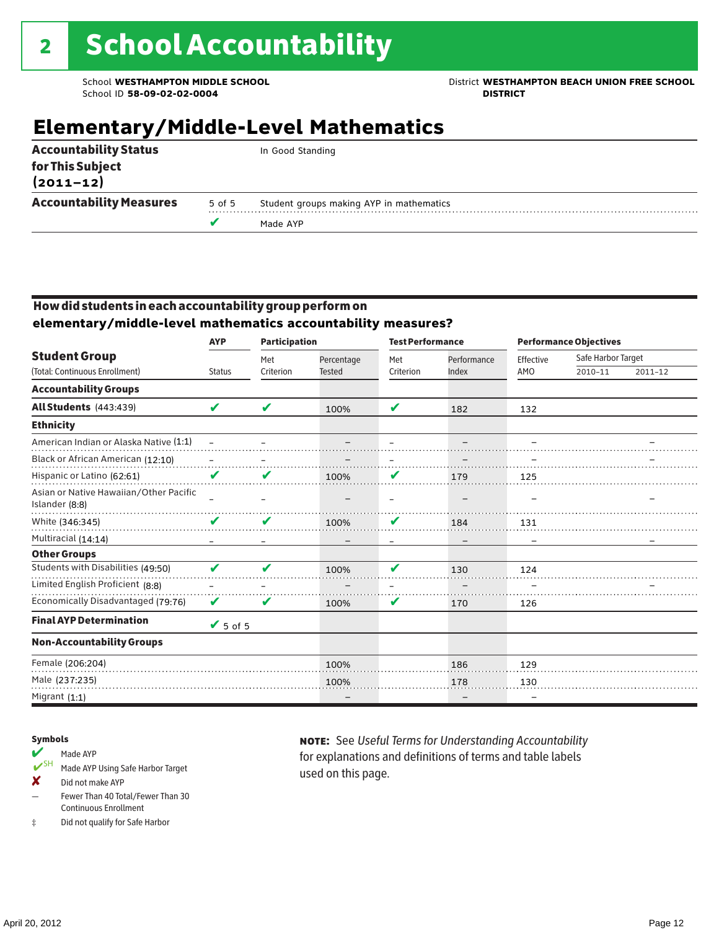## School **WESTHAMPTON MIDDLE SCHOOL** District **WESTHAMPTON BEACH UNION FREE SCHOOL**

# **Elementary/Middle-Level Mathematics**

|        | In Good Standing                         |  |
|--------|------------------------------------------|--|
|        |                                          |  |
|        |                                          |  |
| 5 of 5 | Student groups making AYP in mathematics |  |
|        | Made AYP                                 |  |
|        |                                          |  |

### How did students in each accountability group perform on **elementary/middle-level mathematics accountability measures?**

|                                                          | <b>AYP</b>      | <b>Participation</b> |                             | <b>Test Performance</b> |                      | <b>Performance Objectives</b> |                               |         |  |  |
|----------------------------------------------------------|-----------------|----------------------|-----------------------------|-------------------------|----------------------|-------------------------------|-------------------------------|---------|--|--|
| <b>Student Group</b><br>(Total: Continuous Enrollment)   | <b>Status</b>   | Met<br>Criterion     | Percentage<br><b>Tested</b> | Met<br>Criterion        | Performance<br>Index | Effective<br>AMO              | Safe Harbor Target<br>2010-11 | 2011-12 |  |  |
| <b>Accountability Groups</b>                             |                 |                      |                             |                         |                      |                               |                               |         |  |  |
| <b>All Students (443:439)</b>                            | V               | ✔                    | 100%                        | V                       | 182                  | 132                           |                               |         |  |  |
| <b>Ethnicity</b>                                         |                 |                      |                             |                         |                      |                               |                               |         |  |  |
| American Indian or Alaska Native (1:1)                   |                 |                      |                             |                         |                      |                               |                               |         |  |  |
| Black or African American (12:10)                        |                 |                      |                             |                         |                      |                               |                               |         |  |  |
| Hispanic or Latino (62:61)                               | V               | v                    | 100%                        | V                       | 179                  | 125                           |                               |         |  |  |
| Asian or Native Hawaiian/Other Pacific<br>Islander (8:8) |                 |                      |                             |                         |                      |                               |                               |         |  |  |
| White (346:345)                                          | V               | V                    | 100%                        | V                       | 184                  | 131                           |                               |         |  |  |
| Multiracial (14:14)                                      |                 |                      |                             |                         |                      |                               |                               |         |  |  |
| <b>Other Groups</b>                                      |                 |                      |                             |                         |                      |                               |                               |         |  |  |
| Students with Disabilities (49:50)                       | ✔               | ✔                    | 100%                        | V                       | 130                  | 124                           |                               |         |  |  |
| Limited English Proficient (8:8)                         |                 |                      |                             |                         |                      |                               |                               |         |  |  |
| Economically Disadvantaged (79:76)                       | V               | V                    | 100%                        | V                       | 170                  | 126                           |                               |         |  |  |
| <b>Final AYP Determination</b>                           | $\sqrt{5}$ of 5 |                      |                             |                         |                      |                               |                               |         |  |  |
| <b>Non-Accountability Groups</b>                         |                 |                      |                             |                         |                      |                               |                               |         |  |  |
| Female (206:204)                                         |                 |                      | 100%                        |                         | 186                  | 129                           |                               |         |  |  |
| Male (237:235)                                           |                 |                      | 100%                        |                         | 178                  | 130                           |                               |         |  |  |
| Migrant (1:1)                                            |                 |                      |                             |                         |                      |                               |                               |         |  |  |

### Symbols

- Made AYP<br>
SH Made AYP Made AYP Using Safe Harbor Target
- ✘ Did not make AYP
- Fewer Than 40 Total/Fewer Than 30 Continuous Enrollment
- ‡ Did not qualify for Safe Harbor

note: See *Useful Terms for Understanding Accountability*  for explanations and definitions of terms and table labels used on this page.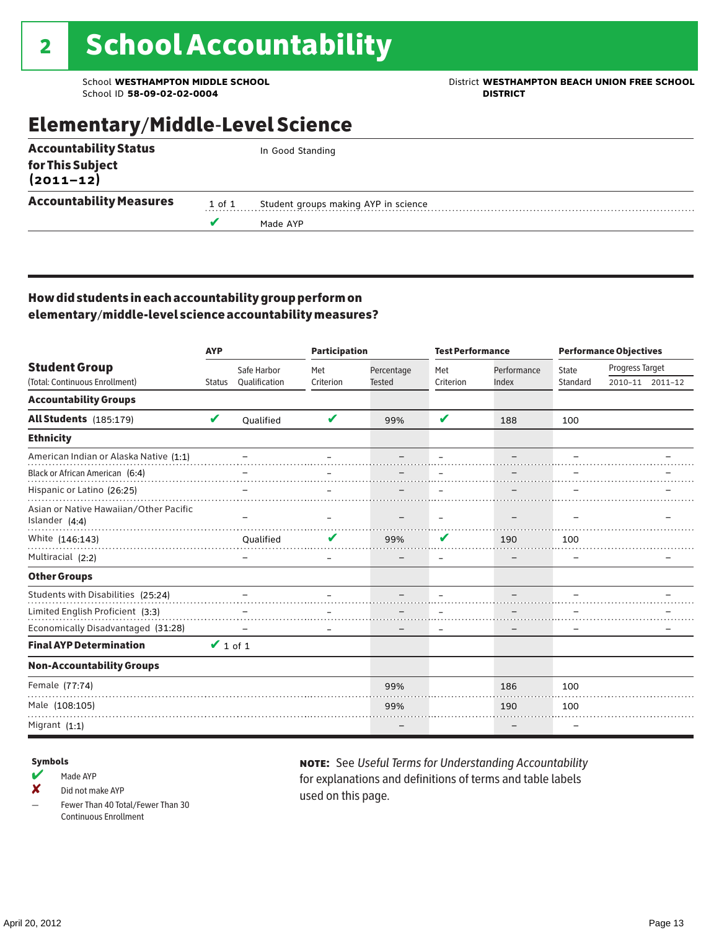School ID 58-09-02-02-0004

### School **WESTHAMPTON MIDDLE SCHOOL**<br>School ID 58-09-02-020404<br>DISTRICT DISTRICT

# Elementary/Middle-Level Science

| <b>Accountability Status</b>   |        | In Good Standing                     |
|--------------------------------|--------|--------------------------------------|
| for This Subject<br>(2011–12)  |        |                                      |
| <b>Accountability Measures</b> | 1 of 1 | Student groups making AYP in science |
|                                |        | Made AYP                             |
|                                |        |                                      |

### How did students in each accountability group perform on elementary/middle-level science accountability measures?

|                                                            | <b>AYP</b>    |                              | <b>Participation</b> |                             | <b>Test Performance</b> |                      | <b>Performance Objectives</b> |                 |                 |
|------------------------------------------------------------|---------------|------------------------------|----------------------|-----------------------------|-------------------------|----------------------|-------------------------------|-----------------|-----------------|
| <b>Student Group</b><br>(Total: Continuous Enrollment)     | <b>Status</b> | Safe Harbor<br>Qualification | Met<br>Criterion     | Percentage<br><b>Tested</b> | Met<br>Criterion        | Performance<br>Index | <b>State</b><br>Standard      | Progress Target | 2010-11 2011-12 |
| <b>Accountability Groups</b>                               |               |                              |                      |                             |                         |                      |                               |                 |                 |
| All Students (185:179)                                     | V             | Oualified                    | V                    | 99%                         | V                       | 188                  | 100                           |                 |                 |
| <b>Ethnicity</b>                                           |               |                              |                      |                             |                         |                      |                               |                 |                 |
| American Indian or Alaska Native (1:1)                     |               |                              |                      |                             |                         |                      |                               |                 |                 |
| Black or African American (6:4)                            |               |                              |                      |                             |                         |                      |                               |                 |                 |
| Hispanic or Latino (26:25)                                 |               |                              |                      |                             |                         |                      |                               |                 |                 |
| Asian or Native Hawaiian/Other Pacific<br>Islander $(4:4)$ |               |                              |                      |                             |                         |                      |                               |                 |                 |
| White (146:143)                                            |               | <b>Oualified</b>             |                      | 99%                         | V                       | 190                  | 100                           |                 |                 |
| Multiracial (2:2)                                          |               |                              |                      |                             | -                       |                      |                               |                 |                 |
| <b>Other Groups</b>                                        |               |                              |                      |                             |                         |                      |                               |                 |                 |
| Students with Disabilities (25:24)                         |               |                              |                      |                             |                         |                      |                               |                 |                 |
| Limited English Proficient (3:3)                           |               |                              |                      |                             |                         |                      |                               |                 |                 |
| Economically Disadvantaged (31:28)                         |               |                              |                      |                             |                         |                      |                               |                 |                 |
| <b>Final AYP Determination</b>                             | $\vee$ 1 of 1 |                              |                      |                             |                         |                      |                               |                 |                 |
| <b>Non-Accountability Groups</b>                           |               |                              |                      |                             |                         |                      |                               |                 |                 |
| Female (77:74)                                             |               |                              |                      | 99%                         |                         | 186                  | 100                           |                 |                 |
| Male (108:105)                                             |               |                              |                      | 99%                         |                         | 190                  | 100                           |                 |                 |
| Migrant $(1:1)$                                            |               |                              |                      |                             |                         |                      |                               |                 |                 |

#### Symbols

 $M$  Made AYP

✘ Did not make AYP

Fewer Than 40 Total/Fewer Than 30 Continuous Enrollment

note: See *Useful Terms for Understanding Accountability*  for explanations and definitions of terms and table labels used on this page.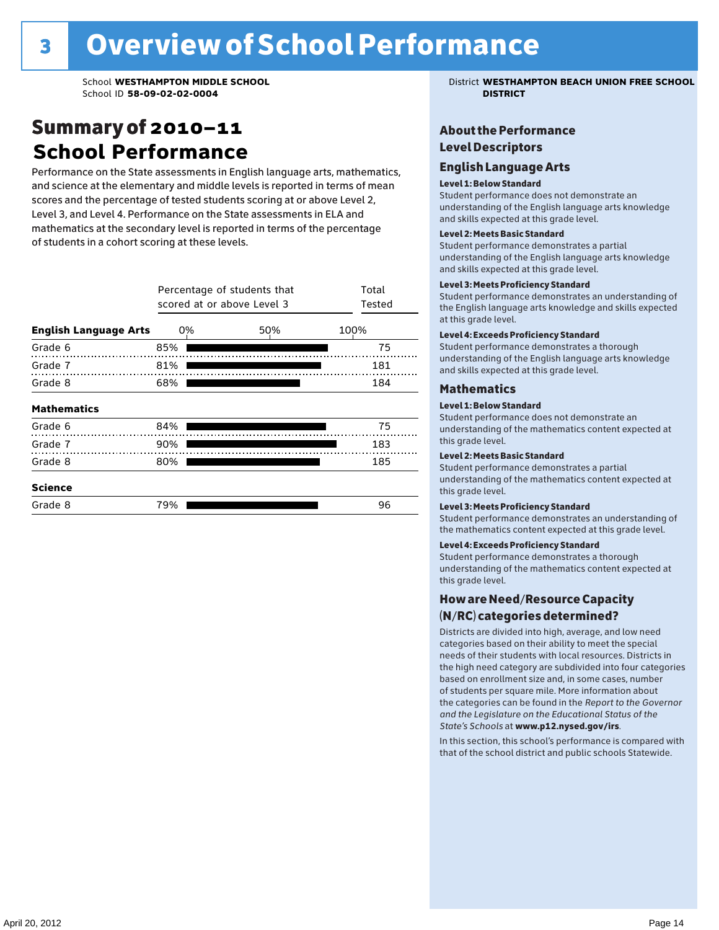## Summary of 2010–11 **School Performance**

Performance on the State assessments in English language arts, mathematics, and science at the elementary and middle levels is reported in terms of mean scores and the percentage of tested students scoring at or above Level 2, Level 3, and Level 4. Performance on the State assessments in ELA and mathematics at the secondary level is reported in terms of the percentage of students in a cohort scoring at these levels.

|                              | Percentage of students that<br>scored at or above Level 3 | Total<br>Tested |      |
|------------------------------|-----------------------------------------------------------|-----------------|------|
| <b>English Language Arts</b> | 0%                                                        | 50%             | 100% |
| Grade 6                      | 85%                                                       |                 | 75   |
| Grade 7                      | 81%                                                       |                 | 181  |
| Grade 8                      | 68%                                                       |                 | 184  |
| <b>Mathematics</b>           |                                                           |                 |      |
| Grade 6                      | 84%                                                       |                 | 75   |
| Grade 7                      | 90%                                                       |                 | 183  |
| Grade 8                      | 80%                                                       |                 | 185  |
| <b>Science</b>               |                                                           |                 |      |
| Grade 8                      | 79%                                                       |                 | 96   |

School **WESTHAMPTON MIDDLE SCHOOL** District **WESTHAMPTON BEACH UNION FREE SCHOOL**

### About the Performance Level Descriptors

#### English Language Arts English Language Arts

#### Level 1: Below Standard

understanding of the content expected in the subjection of the subjection  $\mathcal{L}$ Student performance does not demonstrate an and skills expected at this grade level. understanding of the English language arts knowledge

#### Student performance demonstrates a partial Level 2: Meets Basic Standard understanding of the content expected in the subject of the subject of the subject of the subject of the subject

Student performance demonstrates a partial and skills expected at this grade level. Students performance demonstrates and understanding and understanding and understanding and understanding and u understanding of the English language arts knowledge

### Level 3: Meets Proficiency Standard

Level 4: Meeting Learning Standards with Distinction. the English language arts knowledge and skills expected at this grade level.<br>at this grade level.  $\mathbf{u}$  and  $\mathbf{y}$  and  $\mathbf{u}$  the subjected in the subjected in the subjected in the subjection  $\mathbf{y}$ Student performance demonstrates an understanding of

### Level 4: Exceeds Proficiency Standard

understanding of the English language arts knowledge and skills expected at this grade level.<br>———————————————————— Student performance demonstrates a thorough

#### Districts are districts and low need in the low need  $\sim$

### categories based on their ability to meet the special Level 1: Below Standard

Student performance does not demonstrate an understanding of the mathematics content expected at  $\frac{1}{2}$  based on enrollment size and, in some cases, number  $\frac{1}{2}$  and,  $\frac{1}{2}$  and,  $\frac{1}{2}$ 

### $\overline{\phantom{a}}$  students about  $\overline{\phantom{a}}$  . More is about  $\overline{\phantom{a}}$  about  $\overline{\phantom{a}}$  about  $\overline{\phantom{a}}$

the categories can be found in the *Report to the Governor categories* can be found in the *Report to the Govern*or  $\alpha$ *and the Legislature on the Educational Status of the*  Student performance demonstrates a partial understanding of the mathematics content expected at this grade level.

### Level 3: Meets Proficiency Standard

Student performance demonstrates an understanding of the mathematics content expected at this grade level.

#### Level 4: Exceeds Proficiency Standard

Student performance demonstrates a thorough understanding of the mathematics content expected at this grade level.  $\mathcal{L}_{\text{max}}$  is performance with that of similar  $\mathcal{L}_{\text{max}}$ 

#### schools. The following factors are considered in grouping How are Need/Resource Capacity  $(N/RC)$  categories determined?  $\hphantom{N(2)}\sum_{n=1}^{\infty}\frac{1}{n}$

Districts are divided into high, average, and low need categories based on their ability to meet the special needs of their students with local resources. Districts in the high need category are subdivided into four categories based on enrollment size and, in some cases, number of students per square mile. More information about the categories can be found in the *Report to the Governor* Group: *State's Schools* at www.p12.nysed.gov/irs. *and the Legislature on the Educational Status of the* 

In this section, this school's performance is compared with that of the school district and public schools Statewide.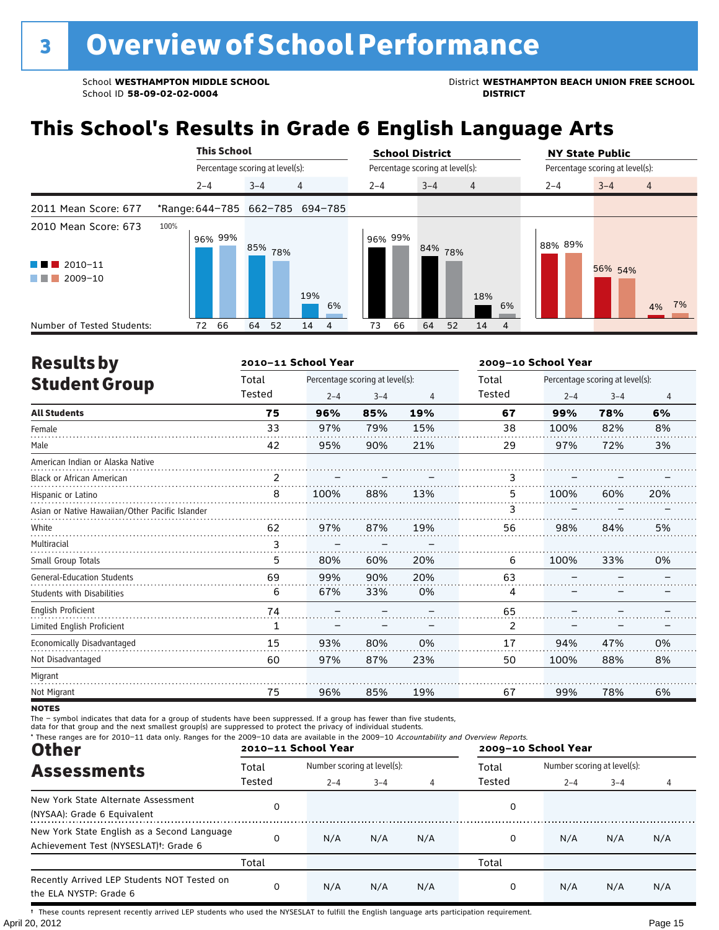School WESTHAMPTON MIDDLE SCHOOL **District WESTHAMPTON BEACH UNION FREE SCHOOL** 

# **This School's Results in Grade 6 English Language Arts**

|                                                           | <b>This School</b> |                                 | <b>School District</b>                       | <b>NY State Public</b>               |
|-----------------------------------------------------------|--------------------|---------------------------------|----------------------------------------------|--------------------------------------|
|                                                           |                    | Percentage scoring at level(s): | Percentage scoring at level(s):              | Percentage scoring at level(s):      |
|                                                           | $2 - 4$            | 4<br>$3 - 4$                    | $3 - 4$<br>$2 - 4$<br>$\overline{4}$         | $3 - 4$<br>$2 - 4$<br>$\overline{4}$ |
| 2011 Mean Score: 677                                      |                    | *Range: 644-785 662-785 694-785 |                                              |                                      |
| 2010 Mean Score: 673<br>$\blacksquare$ 2010-11<br>2009-10 | 100%<br>96% 99%    | 85% 78%<br>19%<br>6%            | 96% 99%<br>84% 78%<br>18%<br>6%              | 88% 89%<br>56% 54%<br>7%<br>4%       |
| Number of Tested Students:                                | 66<br>72           | 52<br>64<br>14<br>4             | 66<br>64<br>14<br>73<br>52<br>$\overline{4}$ |                                      |

| <b>Results by</b>                               |                | 2010-11 School Year |                                 |                |        | 2009-10 School Year |                                 |                |  |  |
|-------------------------------------------------|----------------|---------------------|---------------------------------|----------------|--------|---------------------|---------------------------------|----------------|--|--|
| <b>Student Group</b>                            | Total          |                     | Percentage scoring at level(s): |                | Total  |                     | Percentage scoring at level(s): |                |  |  |
|                                                 | Tested         | $2 - 4$             | $3 - 4$                         | $\overline{4}$ | Tested | $2 - 4$             | $3 - 4$                         | $\overline{4}$ |  |  |
| <b>All Students</b>                             | 75             | 96%                 | 85%                             | 19%            | 67     | 99%                 | 78%                             | 6%             |  |  |
| Female                                          | 33             | 97%                 | 79%                             | 15%            | 38     | 100%                | 82%                             | 8%             |  |  |
| Male                                            | 42             | 95%                 | 90%                             | 21%            | 29     | 97%                 | 72%                             | 3%             |  |  |
| American Indian or Alaska Native                |                |                     |                                 |                |        |                     |                                 |                |  |  |
| <b>Black or African American</b>                | $\mathfrak{p}$ |                     |                                 |                | 3      |                     |                                 |                |  |  |
| Hispanic or Latino                              | 8              | 100%                | 88%                             | 13%            | 5.     | 100%                | 60%                             | 20%            |  |  |
| Asian or Native Hawaiian/Other Pacific Islander |                |                     |                                 |                | 3      |                     |                                 |                |  |  |
| White                                           | 62             | 97%                 | 87%                             | 19%            | 56     | 98%                 | 84%                             | 5%             |  |  |
| Multiracial                                     | 3              |                     |                                 |                |        |                     |                                 |                |  |  |
| Small Group Totals                              | 5              | 80%                 | 60%                             | 20%            | 6      | 100%                | 33%                             | 0%             |  |  |
| <b>General-Education Students</b>               | 69             | 99%                 | 90%                             | 20%            | 63     |                     |                                 |                |  |  |
| <b>Students with Disabilities</b>               | 6              | 67%                 | 33%                             | 0%             | 4      |                     |                                 |                |  |  |
| <b>English Proficient</b>                       | 74             |                     |                                 |                | 65     |                     |                                 |                |  |  |
| Limited English Proficient                      | 1              |                     |                                 |                | 2      |                     |                                 |                |  |  |
| Economically Disadvantaged                      | 15             | 93%                 | 80%                             | 0%             | 17     | 94%                 | 47%                             | 0%             |  |  |
| Not Disadvantaged                               | 60             | 97%                 | 87%                             | 23%            | 50     | 100%                | 88%                             | 8%             |  |  |
| Migrant                                         |                |                     |                                 |                |        |                     |                                 |                |  |  |
| Not Migrant                                     | 75             | 96%                 | 85%                             | 19%            | 67     | 99%                 | 78%                             | 6%             |  |  |

**NOTES** 

The – symbol indicates that data for a group of students have been suppressed. If a group has fewer than five students,<br>data for that group and the next smallest group(s) are suppressed to protect the privacy of individual

| * These ranges are for 2010-11 data only. Ranges for the 2009-10 data are available in the 2009-10 Accountability and Overview Reports.<br><b>Other</b> |        | 2010-11 School Year         |         |     | 2009-10 School Year |                             |         |     |  |
|---------------------------------------------------------------------------------------------------------------------------------------------------------|--------|-----------------------------|---------|-----|---------------------|-----------------------------|---------|-----|--|
| <b>Assessments</b>                                                                                                                                      | Total  | Number scoring at level(s): |         |     | Total               | Number scoring at level(s): |         |     |  |
|                                                                                                                                                         | Tested | $2 - 4$                     | $3 - 4$ | 4   | Tested              | $2 - 4$                     | $3 - 4$ | 4   |  |
| New York State Alternate Assessment<br>(NYSAA): Grade 6 Equivalent                                                                                      | 0      |                             |         |     | 0                   |                             |         |     |  |
| New York State English as a Second Language<br>Achievement Test (NYSESLAT) <sup>+</sup> : Grade 6                                                       | 0      | N/A                         | N/A     | N/A | 0                   | N/A                         | N/A     | N/A |  |
|                                                                                                                                                         | Total  |                             |         |     | Total               |                             |         |     |  |
| Recently Arrived LEP Students NOT Tested on<br>the ELA NYSTP: Grade 6                                                                                   | 0      | N/A                         | N/A     | N/A | 0                   | N/A                         | N/A     | N/A |  |

April 20, 2012 Page 15 † These counts represent recently arrived LEP students who used the NYSESLAT to fulfill the English language arts participation requirement.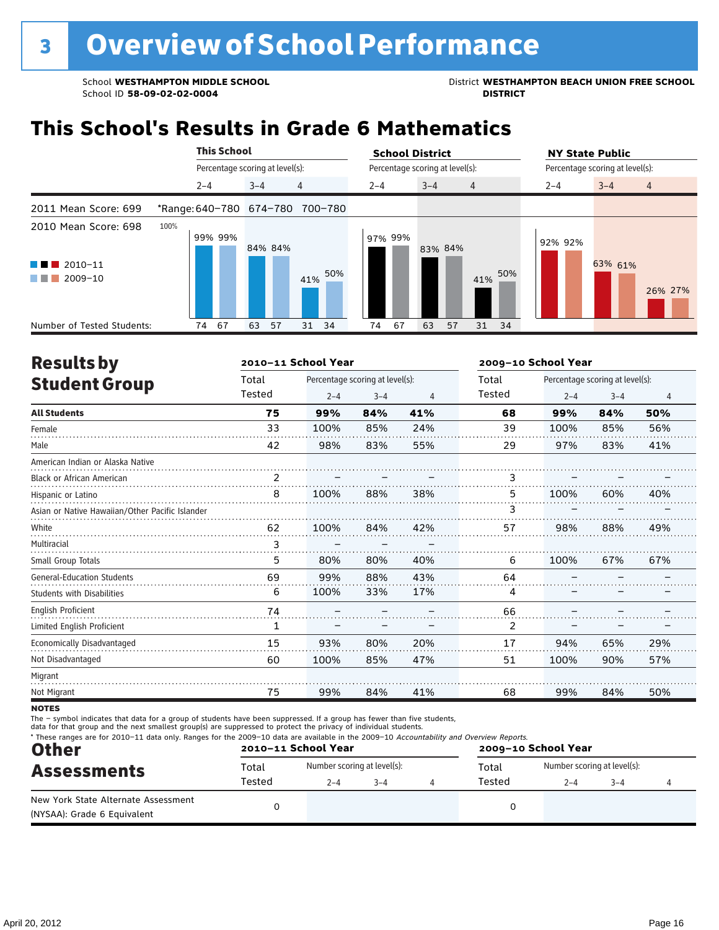School ID 58-09-02-02-0004

School **WESTHAMPTON MIDDLE SCHOOL**<br>School ID 58-09-02-020404<br>District **District Politics** 

# **This School's Results in Grade 6 Mathematics**

|                                                                                        |      |                                 | <b>This School</b> |         |         |                                 |                                 |         | <b>School District</b> |         |                                 |                | <b>NY State Public</b> |         |  |         |                |
|----------------------------------------------------------------------------------------|------|---------------------------------|--------------------|---------|---------|---------------------------------|---------------------------------|---------|------------------------|---------|---------------------------------|----------------|------------------------|---------|--|---------|----------------|
|                                                                                        |      | Percentage scoring at level(s): |                    |         |         |                                 | Percentage scoring at level(s): |         |                        |         | Percentage scoring at level(s): |                |                        |         |  |         |                |
|                                                                                        |      | $2 - 4$                         |                    | $3 - 4$ |         | 4                               |                                 | $2 - 4$ |                        | $3 - 4$ |                                 | $\overline{4}$ |                        | $2 - 4$ |  | $3 - 4$ | $\overline{4}$ |
| 2011 Mean Score: 699                                                                   |      |                                 |                    |         |         | *Range: 640-780 674-780 700-780 |                                 |         |                        |         |                                 |                |                        |         |  |         |                |
| 2010 Mean Score: 698<br>$2010 - 11$<br><b>Contract Contract</b><br>2009-10<br>a sa Tan | 100% |                                 | 99% 99%            |         | 84% 84% | 41%                             | 50%                             |         | 97% 99%                | 83% 84% |                                 | 41%            | 50%                    | 92% 92% |  | 63% 61% | 26% 27%        |
| Number of Tested Students:                                                             |      | 74                              | 67                 | 63      | 57      | - 34<br>31                      |                                 | 74      | 67                     | 63      | 57                              | 31             | 34                     |         |  |         |                |

| <b>Results by</b>                               |        | 2010-11 School Year |                                 |     | 2009-10 School Year |         |                                 |                |  |
|-------------------------------------------------|--------|---------------------|---------------------------------|-----|---------------------|---------|---------------------------------|----------------|--|
| <b>Student Group</b>                            | Total  |                     | Percentage scoring at level(s): |     | Total               |         | Percentage scoring at level(s): |                |  |
|                                                 | Tested | $2 - 4$             | $3 - 4$                         | 4   | Tested              | $2 - 4$ | $3 - 4$                         | $\overline{4}$ |  |
| <b>All Students</b>                             | 75     | 99%                 | 84%                             | 41% | 68                  | 99%     | 84%                             | 50%            |  |
| Female                                          | 33     | 100%                | 85%                             | 24% | 39                  | 100%    | 85%                             | 56%            |  |
| Male                                            | 42     | 98%                 | 83%                             | 55% | 29                  | 97%     | 83%                             | 41%            |  |
| American Indian or Alaska Native                |        |                     |                                 |     |                     |         |                                 |                |  |
| <b>Black or African American</b>                | 2      |                     |                                 |     | 3                   |         |                                 |                |  |
| Hispanic or Latino                              | 8      | 100%                | 88%                             | 38% | 5                   | 100%    | 60%                             | 40%            |  |
| Asian or Native Hawaiian/Other Pacific Islander |        |                     |                                 |     | ٦                   |         |                                 |                |  |
| White                                           | 62     | 100%                | 84%                             | 42% | 57                  | 98%     | 88%                             | 49%            |  |
| Multiracial                                     | 3      |                     |                                 |     |                     |         |                                 |                |  |
| Small Group Totals                              | 5      | 80%                 | 80%                             | 40% | 6                   | 100%    | 67%                             | 67%            |  |
| <b>General-Education Students</b>               | 69     | 99%                 | 88%                             | 43% | 64                  |         |                                 |                |  |
| <b>Students with Disabilities</b>               | 6      | 100%                | 33%                             | 17% | 4                   |         |                                 |                |  |
| <b>English Proficient</b>                       | 74     |                     |                                 |     | 66                  |         |                                 |                |  |
| Limited English Proficient                      | 1      |                     |                                 |     | 2                   |         |                                 |                |  |
| Economically Disadvantaged                      | 15     | 93%                 | 80%                             | 20% | 17                  | 94%     | 65%                             | 29%            |  |
| Not Disadvantaged                               | 60     | 100%                | 85%                             | 47% | 51                  | 100%    | 90%                             | 57%            |  |
| Migrant                                         |        |                     |                                 |     |                     |         |                                 |                |  |
| Not Migrant                                     | 75     | 99%                 | 84%                             | 41% | 68                  | 99%     | 84%                             | 50%            |  |
|                                                 |        |                     |                                 |     |                     |         |                                 |                |  |

**NOTES** 

The – symbol indicates that data for a group of students have been suppressed. If a group has fewer than five students,<br>data for that group and the next smallest group(s) are suppressed to protect the privacy of individual

| <b>Other</b>                                                       |        | 2010-11 School Year          |  | 2009-10 School Year |       |                             |         |  |  |
|--------------------------------------------------------------------|--------|------------------------------|--|---------------------|-------|-----------------------------|---------|--|--|
| <b>Assessments</b>                                                 | Total  | Number scoring at level(s):  |  |                     | Total | Number scoring at level(s): |         |  |  |
|                                                                    | Tested | Tested<br>$2 - 4$<br>$3 - 4$ |  |                     |       |                             | $3 - 4$ |  |  |
| New York State Alternate Assessment<br>(NYSAA): Grade 6 Equivalent |        |                              |  |                     |       |                             |         |  |  |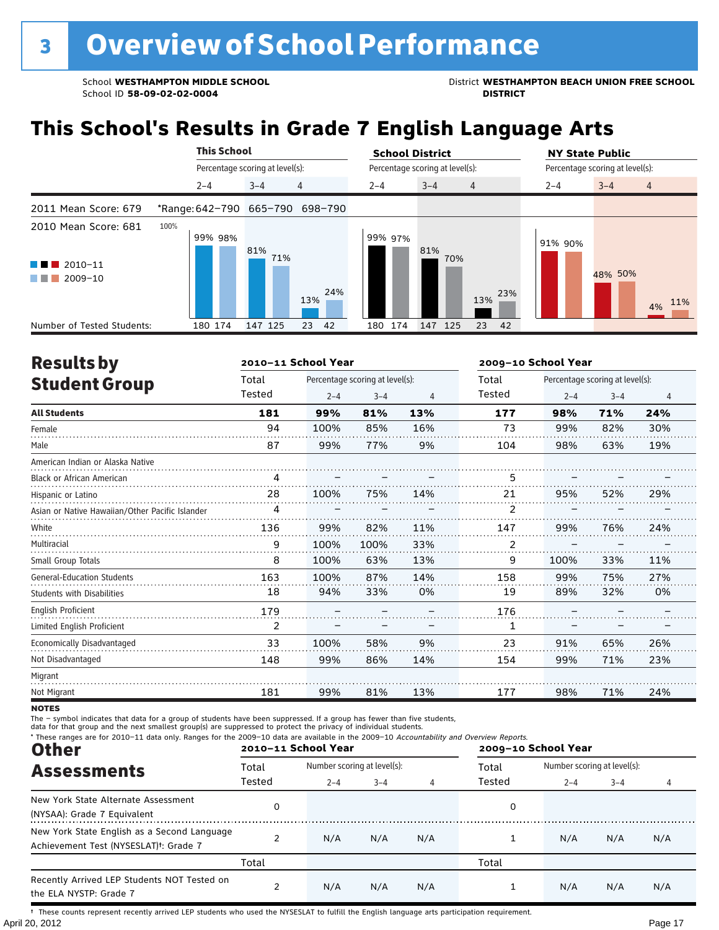School WESTHAMPTON MIDDLE SCHOOL **District WESTHAMPTON BEACH UNION FREE SCHOOL** 

# **This School's Results in Grade 7 English Language Arts**

|                                                           | <b>This School</b> |                                 | <b>School District</b>               | <b>NY State Public</b>                 |
|-----------------------------------------------------------|--------------------|---------------------------------|--------------------------------------|----------------------------------------|
|                                                           |                    | Percentage scoring at level(s): | Percentage scoring at level(s):      | Percentage scoring at level(s):        |
|                                                           | $2 - 4$            | 4<br>$3 - 4$                    | $3 - 4$<br>$2 - 4$<br>$\overline{4}$ | $2 - 4$<br>$3 - 4$<br>$\overline{4}$   |
| 2011 Mean Score: 679                                      |                    | *Range: 642-790 665-790 698-790 |                                      |                                        |
| 2010 Mean Score: 681<br>$\blacksquare$ 2010-11<br>2009-10 | 100%<br>99% 98%    | 81%<br>71%<br>24%<br>13%        | 99% 97%<br>81%<br>70%<br>13%         | 91% 90%<br>48% 50%<br>23%<br>11%<br>4% |
| Number of Tested Students:                                | 180 174            | 147 125<br>23<br>42             | 174<br>147 125<br>23<br>180          | 42                                     |

| <b>Results by</b>                               |                | 2010-11 School Year |                                 |                | 2009-10 School Year |         |                                 |     |  |
|-------------------------------------------------|----------------|---------------------|---------------------------------|----------------|---------------------|---------|---------------------------------|-----|--|
| <b>Student Group</b>                            | Total          |                     | Percentage scoring at level(s): |                | Total               |         | Percentage scoring at level(s): |     |  |
|                                                 | Tested         | $2 - 4$             | $3 - 4$                         | $\overline{4}$ | Tested              | $2 - 4$ | $3 - 4$                         | 4   |  |
| <b>All Students</b>                             | 181            | 99%                 | 81%                             | 13%            | 177                 | 98%     | 71%                             | 24% |  |
| Female                                          | 94             | 100%                | 85%                             | 16%            | 73                  | 99%     | 82%                             | 30% |  |
| Male                                            | 87             | 99%                 | 77%                             | 9%             | 104                 | 98%     | 63%                             | 19% |  |
| American Indian or Alaska Native                |                |                     |                                 |                |                     |         |                                 |     |  |
| <b>Black or African American</b>                | 4              |                     |                                 |                | 5                   |         |                                 |     |  |
| Hispanic or Latino                              | 28             | 100%                | 75%                             | 14%            | 21                  | 95%     | 52%                             | 29% |  |
| Asian or Native Hawaiian/Other Pacific Islander | 4              |                     |                                 |                | 2                   |         |                                 |     |  |
| White                                           | 136            | 99%                 | 82%                             | 11%            | 147                 | 99%     | 76%                             | 24% |  |
| Multiracial                                     | 9              | 100%                | 100%                            | 33%            | 2                   |         |                                 |     |  |
| Small Group Totals                              | 8              | 100%                | 63%                             | 13%            | 9                   | 100%    | 33%                             | 11% |  |
| <b>General-Education Students</b>               | 163            | 100%                | 87%                             | 14%            | 158                 | 99%     | 75%                             | 27% |  |
| <b>Students with Disabilities</b>               | 18             | 94%                 | 33%                             | 0%             | 19                  | 89%     | 32%                             | 0%  |  |
| <b>English Proficient</b>                       | 179            |                     |                                 |                | 176                 |         |                                 |     |  |
| Limited English Proficient                      | $\overline{2}$ |                     |                                 |                | 1                   |         |                                 |     |  |
| Economically Disadvantaged                      | 33             | 100%                | 58%                             | 9%             | 23                  | 91%     | 65%                             | 26% |  |
| Not Disadvantaged                               | 148            | 99%                 | 86%                             | 14%            | 154                 | 99%     | 71%                             | 23% |  |
| Migrant                                         |                |                     |                                 |                |                     |         |                                 |     |  |
| Not Migrant                                     | 181            | 99%                 | 81%                             | 13%            | 177                 | 98%     | 71%                             | 24% |  |

**NOTES** 

The – symbol indicates that data for a group of students have been suppressed. If a group has fewer than five students,<br>data for that group and the next smallest group(s) are suppressed to protect the privacy of individual

| * These ranges are for 2010-11 data only. Ranges for the 2009-10 data are available in the 2009-10 Accountability and Overview Reports.<br><b>Other</b> |        | 2010-11 School Year         |         |     | 2009-10 School Year |                             |         |     |  |
|---------------------------------------------------------------------------------------------------------------------------------------------------------|--------|-----------------------------|---------|-----|---------------------|-----------------------------|---------|-----|--|
| <b>Assessments</b>                                                                                                                                      | Total  | Number scoring at level(s): |         |     | Total               | Number scoring at level(s): |         |     |  |
|                                                                                                                                                         | Tested | $2 - 4$                     | $3 - 4$ | 4   | Tested              | $2 - 4$                     | $3 - 4$ | 4   |  |
| New York State Alternate Assessment<br>(NYSAA): Grade 7 Equivalent                                                                                      | 0      |                             |         |     | 0                   |                             |         |     |  |
| New York State English as a Second Language<br>Achievement Test (NYSESLAT) <sup>+</sup> : Grade 7                                                       |        | N/A                         | N/A     | N/A |                     | N/A                         | N/A     | N/A |  |
|                                                                                                                                                         | Total  |                             |         |     | Total               |                             |         |     |  |
| Recently Arrived LEP Students NOT Tested on<br>the ELA NYSTP: Grade 7                                                                                   |        | N/A                         | N/A     | N/A |                     | N/A                         | N/A     | N/A |  |

April 20, 2012 Page 17 † These counts represent recently arrived LEP students who used the NYSESLAT to fulfill the English language arts participation requirement.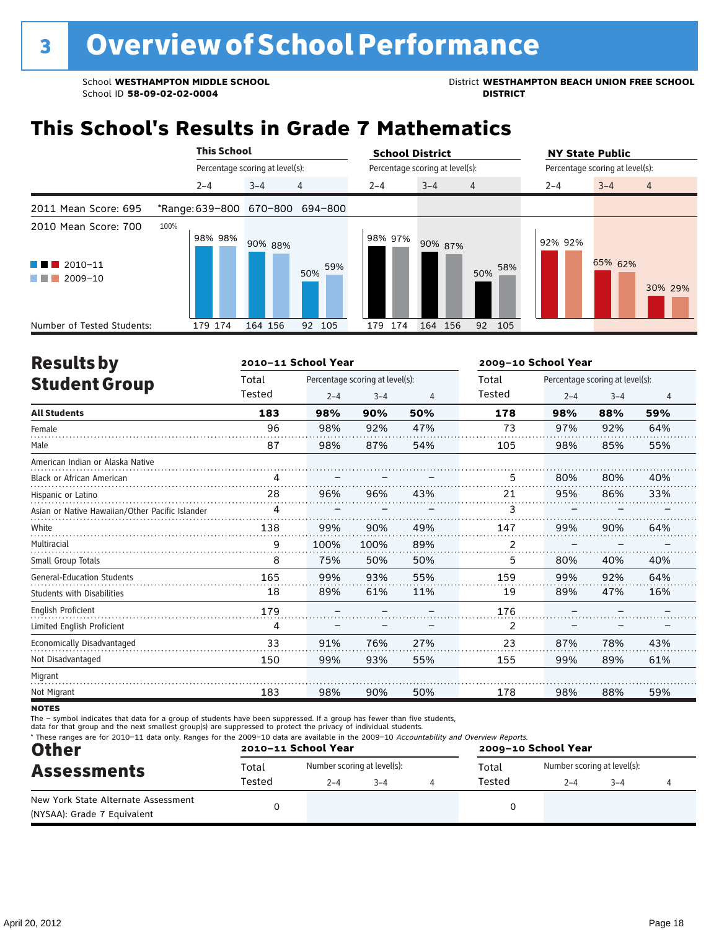School ID 58-09-02-02-0004

School **WESTHAMPTON MIDDLE SCHOOL**<br>School ID 58-09-02-020404<br>DISTRICT DISTRICT

# **This School's Results in Grade 7 Mathematics**

|                                                                        | <b>This School</b>              |                                 |            | <b>School District</b> |                                 | <b>NY State Public</b>               |
|------------------------------------------------------------------------|---------------------------------|---------------------------------|------------|------------------------|---------------------------------|--------------------------------------|
|                                                                        |                                 | Percentage scoring at level(s): |            |                        | Percentage scoring at level(s): | Percentage scoring at level(s):      |
|                                                                        | $2 - 4$                         | $3 - 4$                         | 4          | $2 - 4$                | $3 - 4$<br>$\overline{4}$       | $3 - 4$<br>$\overline{4}$<br>$2 - 4$ |
| 2011 Mean Score: 695                                                   | *Range: 639-800 670-800 694-800 |                                 |            |                        |                                 |                                      |
| 2010 Mean Score: 700<br>$2010 - 11$<br>a sa Tan<br>2009-10<br>a sa Tan | 100%<br>98% 98%                 | 90% 88%                         | 59%<br>50% | 98% 97%                | 90% 87%<br>58%<br>50%           | 92% 92%<br>65% 62%<br>30% 29%        |
| Number of Tested Students:                                             | 179 174                         | 164 156                         | 105<br>92  | 174<br>179             | 164 156<br>92<br>105            |                                      |

| <b>Results by</b>                               |        | 2010-11 School Year |                                 |                | 2009-10 School Year |         |                                 |     |  |
|-------------------------------------------------|--------|---------------------|---------------------------------|----------------|---------------------|---------|---------------------------------|-----|--|
| <b>Student Group</b>                            | Total  |                     | Percentage scoring at level(s): |                | Total               |         | Percentage scoring at level(s): |     |  |
|                                                 | Tested | $2 - 4$             | $3 - 4$                         | $\overline{4}$ | Tested              | $2 - 4$ | $3 - 4$                         | 4   |  |
| <b>All Students</b>                             | 183    | 98%                 | 90%                             | 50%            | 178                 | 98%     | 88%                             | 59% |  |
| Female                                          | 96     | 98%                 | 92%                             | 47%            | 73                  | 97%     | 92%                             | 64% |  |
| Male                                            | 87     | 98%                 | 87%                             | 54%            | 105                 | 98%     | 85%                             | 55% |  |
| American Indian or Alaska Native                |        |                     |                                 |                |                     |         |                                 |     |  |
| <b>Black or African American</b>                | 4      |                     |                                 |                | 5                   | 80%     | 80%                             | 40% |  |
| Hispanic or Latino                              | 28     | 96%                 | 96%                             | 43%            | 21                  | 95%     | 86%                             | 33% |  |
| Asian or Native Hawaiian/Other Pacific Islander | 4      |                     |                                 |                | 3                   |         |                                 |     |  |
| White                                           | 138    | 99%                 | 90%                             | 49%            | 147                 | 99%     | 90%                             | 64% |  |
| Multiracial                                     | 9      | 100%                | 100%                            | 89%            | 2                   |         |                                 |     |  |
| Small Group Totals                              | 8      | 75%                 | 50%                             | 50%            | 5                   | 80%     | 40%                             | 40% |  |
| <b>General-Education Students</b>               | 165    | 99%                 | 93%                             | 55%            | 159                 | 99%     | 92%                             | 64% |  |
| <b>Students with Disabilities</b>               | 18     | 89%                 | 61%                             | 11%            | 19                  | 89%     | 47%                             | 16% |  |
| <b>English Proficient</b>                       | 179    |                     |                                 |                | 176                 |         |                                 |     |  |
| Limited English Proficient                      | 4      |                     |                                 |                | 2                   |         |                                 |     |  |
| Economically Disadvantaged                      | 33     | 91%                 | 76%                             | 27%            | 23                  | 87%     | 78%                             | 43% |  |
| Not Disadvantaged                               | 150    | 99%                 | 93%                             | 55%            | 155                 | 99%     | 89%                             | 61% |  |
| Migrant                                         |        |                     |                                 |                |                     |         |                                 |     |  |
| Not Migrant                                     | 183    | 98%                 | 90%                             | 50%            | 178                 | 98%     | 88%                             | 59% |  |
| $\cdots$                                        |        |                     |                                 |                |                     |         |                                 |     |  |

**NOTES** 

The – symbol indicates that data for a group of students have been suppressed. If a group has fewer than five students,

data for that group and the next smallest group(s) are suppressed to protect the privacy of individual students.

| <b>Other</b>                                                       |        | 2010-11 School Year         |         | * These ranges are for 2010-11 data only. Ranges for the 2009-10 data are available in the 2009-10 Accountability and Overview Reports.<br>2009-10 School Year |        |                             |         |  |
|--------------------------------------------------------------------|--------|-----------------------------|---------|----------------------------------------------------------------------------------------------------------------------------------------------------------------|--------|-----------------------------|---------|--|
| <b>Assessments</b>                                                 | Total  | Number scoring at level(s): |         |                                                                                                                                                                | Total  | Number scoring at level(s): |         |  |
|                                                                    | Tested | $2 - 4$                     | $3 - 4$ |                                                                                                                                                                | Tested | $2 - 4$                     | $3 - 4$ |  |
| New York State Alternate Assessment<br>(NYSAA): Grade 7 Equivalent |        |                             |         |                                                                                                                                                                |        |                             |         |  |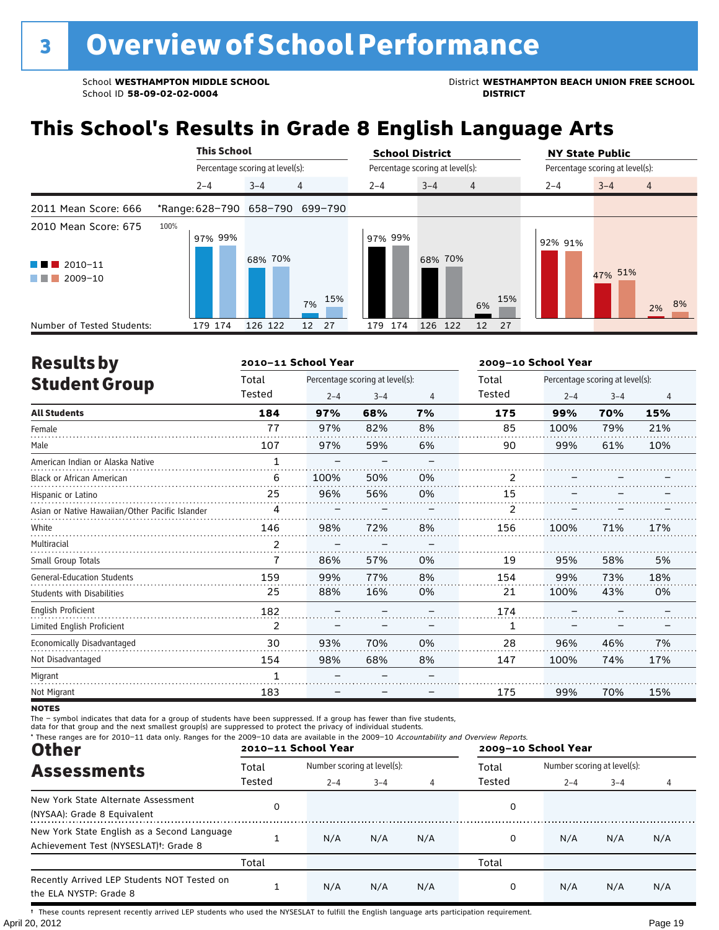School WESTHAMPTON MIDDLE SCHOOL **District WESTHAMPTON BEACH UNION FREE SCHOOL** 

# **This School's Results in Grade 8 English Language Arts**

|                                                                          | <b>This School</b> |                                 | <b>School District</b>                         | <b>NY State Public</b>               |
|--------------------------------------------------------------------------|--------------------|---------------------------------|------------------------------------------------|--------------------------------------|
|                                                                          |                    | Percentage scoring at level(s): | Percentage scoring at level(s):                | Percentage scoring at level(s):      |
|                                                                          | $2 - 4$            | $\overline{4}$<br>$3 - 4$       | $3 - 4$<br>$2 - 4$<br>$\overline{4}$           | $3 - 4$<br>$2 - 4$<br>$\overline{4}$ |
| 2011 Mean Score: 666                                                     |                    | *Range: 628-790 658-790 699-790 |                                                |                                      |
| 2010 Mean Score: 675<br>$\blacksquare$ 2010-11<br>$\blacksquare$ 2009-10 | 100%<br>97% 99%    | 68% 70%<br>15%<br>7%            | 97% 99%<br>68% 70%<br>15%<br>6%                | 92% 91%<br>47% 51%<br>8%<br>2%       |
| Number of Tested Students:                                               | 179 174            | 126 122<br>12<br>27             | 174<br>126 122<br>27<br>12 <sup>2</sup><br>179 |                                      |

| <b>Results by</b>                               |        | 2010-11 School Year |                                 |    | 2009-10 School Year |         |                                 |                |  |
|-------------------------------------------------|--------|---------------------|---------------------------------|----|---------------------|---------|---------------------------------|----------------|--|
| <b>Student Group</b>                            | Total  |                     | Percentage scoring at level(s): |    | Total               |         | Percentage scoring at level(s): |                |  |
|                                                 | Tested | $2 - 4$             | $3 - 4$                         | 4  | Tested              | $2 - 4$ | $3 - 4$                         | $\overline{4}$ |  |
| <b>All Students</b>                             | 184    | 97%                 | 68%                             | 7% | 175                 | 99%     | 70%                             | 15%            |  |
| Female                                          | 77     | 97%                 | 82%                             | 8% | 85                  | 100%    | 79%                             | 21%            |  |
| Male                                            | 107    | 97%                 | 59%                             | 6% | 90                  | 99%     | 61%                             | 10%            |  |
| American Indian or Alaska Native                | 1      |                     |                                 |    |                     |         |                                 |                |  |
| <b>Black or African American</b>                | 6      | 100%                | 50%                             | 0% | 2                   |         |                                 |                |  |
| Hispanic or Latino                              | 25     | 96%                 | 56%                             | 0% | 15                  |         |                                 |                |  |
| Asian or Native Hawaiian/Other Pacific Islander | 4      |                     |                                 |    | 2                   |         |                                 |                |  |
| White                                           | 146    | 98%                 | 72%                             | 8% | 156                 | 100%    | 71%                             | 17%            |  |
| Multiracial                                     | 2      |                     |                                 |    |                     |         |                                 |                |  |
| Small Group Totals                              | 7      | 86%                 | 57%                             | 0% | 19                  | 95%     | 58%                             | 5%             |  |
| <b>General-Education Students</b>               | 159    | 99%                 | 77%                             | 8% | 154                 | 99%     | 73%                             | 18%            |  |
| <b>Students with Disabilities</b>               | 25     | 88%                 | 16%                             | 0% | 21                  | 100%    | 43%                             | 0%             |  |
| English Proficient                              | 182    |                     |                                 |    | 174                 |         |                                 |                |  |
| Limited English Proficient                      | 2      |                     |                                 |    | 1                   |         |                                 |                |  |
| Economically Disadvantaged                      | 30     | 93%                 | 70%                             | 0% | 28                  | 96%     | 46%                             | 7%             |  |
| Not Disadvantaged                               | 154    | 98%                 | 68%                             | 8% | 147                 | 100%    | 74%                             | 17%            |  |
| Migrant                                         | 1      |                     |                                 |    |                     |         |                                 |                |  |
| Not Migrant                                     | 183    |                     |                                 |    | 175                 | 99%     | 70%                             | 15%            |  |

**NOTES** 

The – symbol indicates that data for a group of students have been suppressed. If a group has fewer than five students,<br>data for that group and the next smallest group(s) are suppressed to protect the privacy of individual

| * These ranges are for 2010-11 data only. Ranges for the 2009-10 data are available in the 2009-10 Accountability and Overview Reports.<br><b>Other</b> |        | 2010-11 School Year |                             |     | 2009-10 School Year |                             |         |     |  |
|---------------------------------------------------------------------------------------------------------------------------------------------------------|--------|---------------------|-----------------------------|-----|---------------------|-----------------------------|---------|-----|--|
| <b>Assessments</b>                                                                                                                                      | Total  |                     | Number scoring at level(s): |     |                     | Number scoring at level(s): |         |     |  |
|                                                                                                                                                         | Tested | $2 - 4$             | $3 - 4$                     |     | Tested              | $2 - 4$                     | $3 - 4$ | 4   |  |
| New York State Alternate Assessment<br>(NYSAA): Grade 8 Equivalent                                                                                      |        |                     |                             |     | 0                   |                             |         |     |  |
| New York State English as a Second Language<br>Achievement Test (NYSESLAT) <sup>+</sup> : Grade 8                                                       |        | N/A                 | N/A                         | N/A | 0                   | N/A                         | N/A     | N/A |  |
|                                                                                                                                                         | Total  |                     |                             |     | Total               |                             |         |     |  |
| Recently Arrived LEP Students NOT Tested on<br>the ELA NYSTP: Grade 8                                                                                   |        | N/A                 | N/A                         | N/A | 0                   | N/A                         | N/A     | N/A |  |

April 20, 2012 Page 19 † These counts represent recently arrived LEP students who used the NYSESLAT to fulfill the English language arts participation requirement.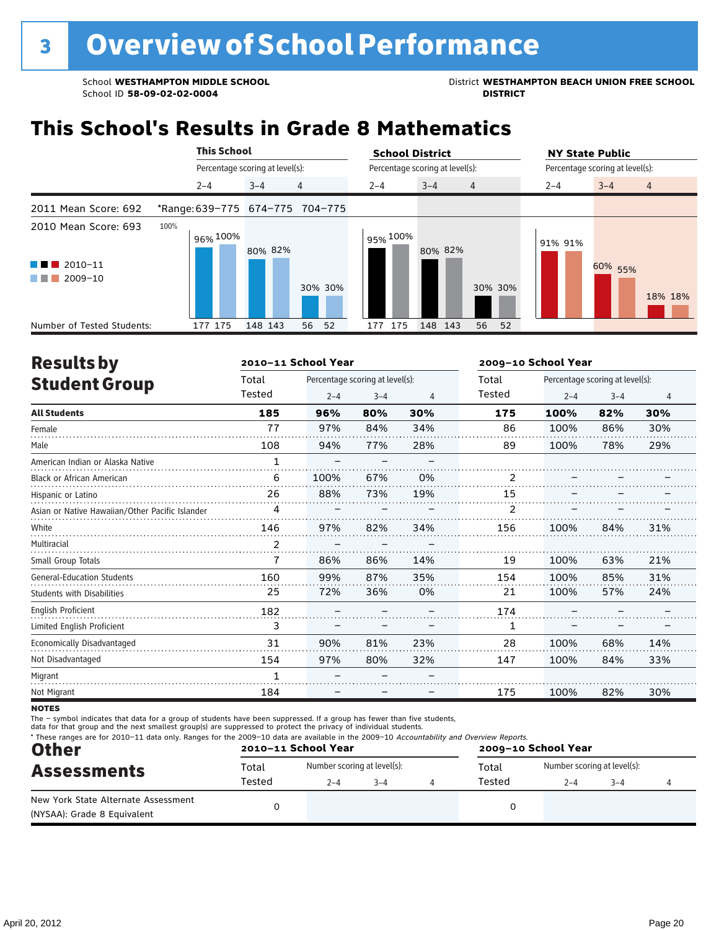School ID 58-09-02-02-0004

School **WESTHAMPTON MIDDLE SCHOOL**<br>School ID 58-09-02-020404<br>DISTRICT DISTRICT

# **This School's Results in Grade 8 Mathematics**

|                                                                                            |      | <b>This School</b>              |         |                                 | <b>School District</b> |                                 | <b>NY State Public</b> |                                 |  |  |
|--------------------------------------------------------------------------------------------|------|---------------------------------|---------|---------------------------------|------------------------|---------------------------------|------------------------|---------------------------------|--|--|
|                                                                                            |      | Percentage scoring at level(s): |         |                                 |                        | Percentage scoring at level(s): |                        | Percentage scoring at level(s): |  |  |
|                                                                                            |      | $2 - 4$                         | $3 - 4$ | 4                               | $2 - 4$                | $3 - 4$<br>$\overline{4}$       | $2 - 4$                | $3 - 4$<br>$\overline{4}$       |  |  |
| 2011 Mean Score: 692                                                                       |      |                                 |         | *Range: 639-775 674-775 704-775 |                        |                                 |                        |                                 |  |  |
| 2010 Mean Score: 693<br>$\blacksquare$ 2010-11<br><b>TERRITORIA</b><br>2009-10<br>a sa Tan | 100% | 96% 100%                        | 80% 82% | 30% 30%                         | 95% 100%               | 80% 82%<br>30% 30%              | 91% 91%                | 60% 55%<br>18% 18%              |  |  |
| Number of Tested Students:                                                                 |      | 177 175                         | 148 143 | 52<br>56                        | 175<br>177             | 148 143<br>56<br>52             |                        |                                 |  |  |

| <b>Results by</b>                               |                | 2010-11 School Year |                                 |     | 2009-10 School Year |         |                                 |     |  |
|-------------------------------------------------|----------------|---------------------|---------------------------------|-----|---------------------|---------|---------------------------------|-----|--|
| <b>Student Group</b>                            | Total          |                     | Percentage scoring at level(s): |     | Total               |         | Percentage scoring at level(s): |     |  |
|                                                 | Tested         | $2 - 4$             | $3 - 4$                         | 4   | Tested              | $2 - 4$ | $3 - 4$                         | 4   |  |
| <b>All Students</b>                             | 185            | 96%                 | 80%                             | 30% | 175                 | 100%    | 82%                             | 30% |  |
| Female                                          | 77             | 97%                 | 84%                             | 34% | 86                  | 100%    | 86%                             | 30% |  |
| Male                                            | 108            | 94%                 | 77%                             | 28% | 89                  | 100%    | 78%                             | 29% |  |
| American Indian or Alaska Native                | $\mathbf{1}$   |                     |                                 |     |                     |         |                                 |     |  |
| <b>Black or African American</b>                | 6              | 100%                | 67%                             | 0%  | $\overline{2}$      |         |                                 |     |  |
| Hispanic or Latino                              | 26             | 88%                 | 73%                             | 19% | 15                  |         |                                 |     |  |
| Asian or Native Hawaiian/Other Pacific Islander | 4              |                     |                                 |     | 2                   |         |                                 |     |  |
| White                                           | 146            | 97%                 | 82%                             | 34% | 156                 | 100%    | 84%                             | 31% |  |
| Multiracial                                     | $\overline{2}$ |                     |                                 |     |                     |         |                                 |     |  |
| Small Group Totals                              | 7              | 86%                 | 86%                             | 14% | 19                  | 100%    | 63%                             | 21% |  |
| <b>General-Education Students</b>               | 160            | 99%                 | 87%                             | 35% | 154                 | 100%    | 85%                             | 31% |  |
| <b>Students with Disabilities</b>               | 25             | 72%                 | 36%                             | 0%  | 21                  | 100%    | 57%                             | 24% |  |
| <b>English Proficient</b>                       | 182            |                     |                                 |     | 174                 |         |                                 |     |  |
| Limited English Proficient                      | 3              |                     |                                 |     | 1                   |         |                                 |     |  |
| Economically Disadvantaged                      | 31             | 90%                 | 81%                             | 23% | 28                  | 100%    | 68%                             | 14% |  |
| Not Disadvantaged                               | 154            | 97%                 | 80%                             | 32% | 147                 | 100%    | 84%                             | 33% |  |
| Migrant                                         | 1              |                     |                                 |     |                     |         |                                 |     |  |
| Not Migrant                                     | 184            |                     |                                 |     | 175                 | 100%    | 82%                             | 30% |  |

**NOTES** 

The – symbol indicates that data for a group of students have been suppressed. If a group has fewer than five students,

data for that group and the next smallest group(s) are suppressed to protect the privacy of individual students.

| * These ranges are for 2010-11 data only. Ranges for the 2009-10 data are available in the 2009-10 Accountability and Overview Reports.<br><b>Other</b> |        | 2010-11 School Year         |         | 2009-10 School Year |        |                             |         |  |
|---------------------------------------------------------------------------------------------------------------------------------------------------------|--------|-----------------------------|---------|---------------------|--------|-----------------------------|---------|--|
| <b>Assessments</b>                                                                                                                                      | Total  | Number scoring at level(s): |         |                     | Total  | Number scoring at level(s): |         |  |
|                                                                                                                                                         | Tested | $2 - 4$                     | $3 - 4$ |                     | Tested | 2-4                         | $3 - 4$ |  |
| New York State Alternate Assessment<br>(NYSAA): Grade 8 Equivalent                                                                                      |        |                             |         |                     |        |                             |         |  |